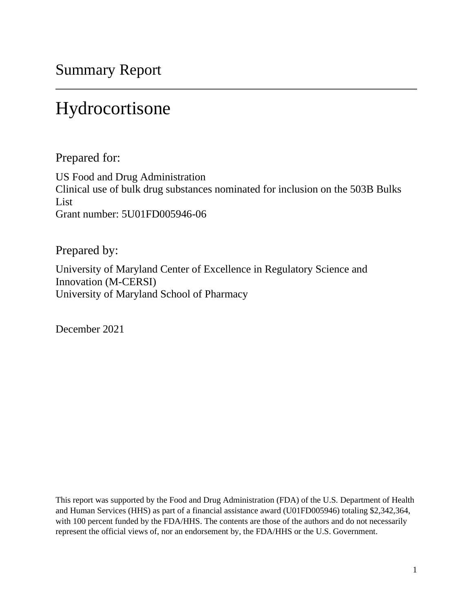Summary Report

# Hydrocortisone

Prepared for:

US Food and Drug Administration Clinical use of bulk drug substances nominated for inclusion on the 503B Bulks List Grant number: 5U01FD005946-06

Prepared by:

University of Maryland Center of Excellence in Regulatory Science and Innovation (M-CERSI) University of Maryland School of Pharmacy

December 2021

This report was supported by the Food and Drug Administration (FDA) of the U.S. Department of Health and Human Services (HHS) as part of a financial assistance award (U01FD005946) totaling \$2,342,364, with 100 percent funded by the FDA/HHS. The contents are those of the authors and do not necessarily represent the official views of, nor an endorsement by, the FDA/HHS or the U.S. Government.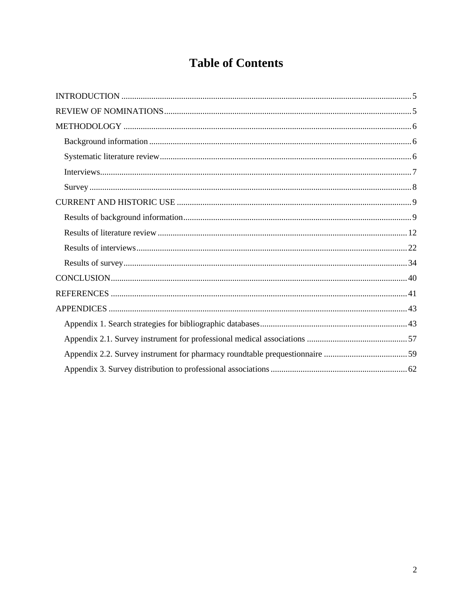# **Table of Contents**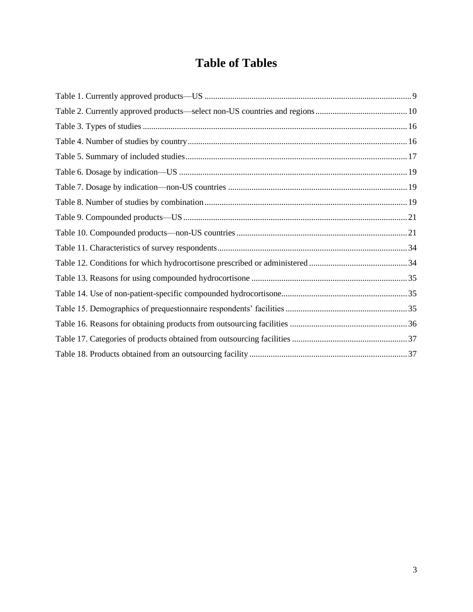## **Table of Tables**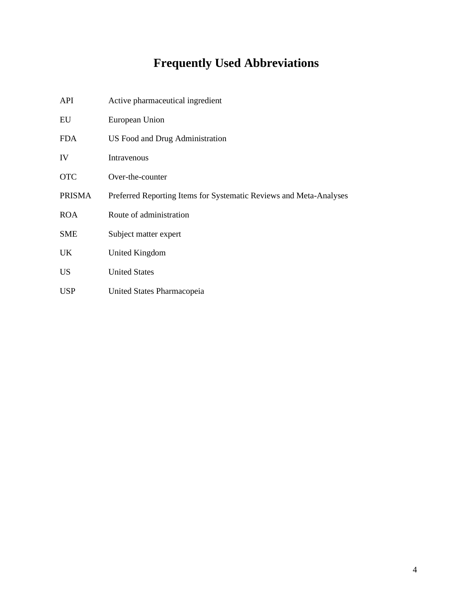# **Frequently Used Abbreviations**

| API           | Active pharmaceutical ingredient                                   |
|---------------|--------------------------------------------------------------------|
| EU            | European Union                                                     |
| <b>FDA</b>    | US Food and Drug Administration                                    |
| IV            | Intravenous                                                        |
| <b>OTC</b>    | Over-the-counter                                                   |
| <b>PRISMA</b> | Preferred Reporting Items for Systematic Reviews and Meta-Analyses |
| <b>ROA</b>    | Route of administration                                            |
| <b>SME</b>    | Subject matter expert                                              |
| UK.           | United Kingdom                                                     |
| <b>US</b>     | <b>United States</b>                                               |
| <b>USP</b>    | United States Pharmacopeia                                         |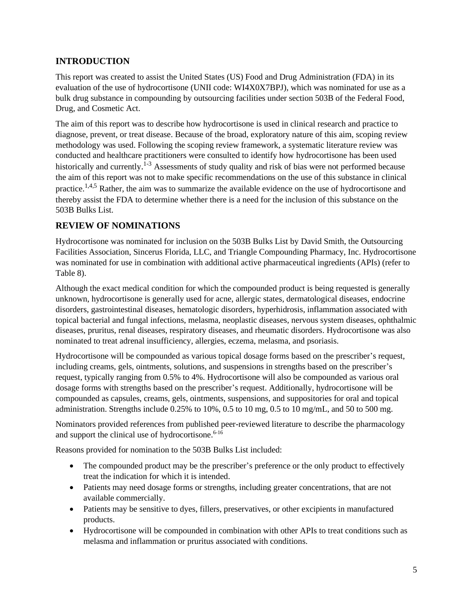## <span id="page-4-0"></span>**INTRODUCTION**

This report was created to assist the United States (US) Food and Drug Administration (FDA) in its evaluation of the use of hydrocortisone (UNII code: WI4X0X7BPJ), which was nominated for use as a bulk drug substance in compounding by outsourcing facilities under section 503B of the Federal Food, Drug, and Cosmetic Act.

The aim of this report was to describe how hydrocortisone is used in clinical research and practice to diagnose, prevent, or treat disease. Because of the broad, exploratory nature of this aim, scoping review methodology was used. Following the scoping review framework, a systematic literature review was conducted and healthcare practitioners were consulted to identify how hydrocortisone has been used historically and currently.<sup>1-3</sup> Assessments of study quality and risk of bias were not performed because the aim of this report was not to make specific recommendations on the use of this substance in clinical practice.<sup>1,4,5</sup> Rather, the aim was to summarize the available evidence on the use of hydrocortisone and thereby assist the FDA to determine whether there is a need for the inclusion of this substance on the 503B Bulks List.

## <span id="page-4-1"></span>**REVIEW OF NOMINATIONS**

Hydrocortisone was nominated for inclusion on the 503B Bulks List by David Smith, the Outsourcing Facilities Association, Sincerus Florida, LLC, and Triangle Compounding Pharmacy, Inc. Hydrocortisone was nominated for use in combination with additional active pharmaceutical ingredients (APIs) (refer to Table 8).

Although the exact medical condition for which the compounded product is being requested is generally unknown, hydrocortisone is generally used for acne, allergic states, dermatological diseases, endocrine disorders, gastrointestinal diseases, hematologic disorders, hyperhidrosis, inflammation associated with topical bacterial and fungal infections, melasma, neoplastic diseases, nervous system diseases, ophthalmic diseases, pruritus, renal diseases, respiratory diseases, and rheumatic disorders. Hydrocortisone was also nominated to treat adrenal insufficiency, allergies, eczema, melasma, and psoriasis.

Hydrocortisone will be compounded as various topical dosage forms based on the prescriber's request, including creams, gels, ointments, solutions, and suspensions in strengths based on the prescriber's request, typically ranging from 0.5% to 4%. Hydrocortisone will also be compounded as various oral dosage forms with strengths based on the prescriber's request. Additionally, hydrocortisone will be compounded as capsules, creams, gels, ointments, suspensions, and suppositories for oral and topical administration. Strengths include 0.25% to 10%, 0.5 to 10 mg, 0.5 to 10 mg/mL, and 50 to 500 mg.

Nominators provided references from published peer-reviewed literature to describe the pharmacology and support the clinical use of hydrocortisone. 6-16

Reasons provided for nomination to the 503B Bulks List included:

- The compounded product may be the prescriber's preference or the only product to effectively treat the indication for which it is intended.
- Patients may need dosage forms or strengths, including greater concentrations, that are not available commercially.
- Patients may be sensitive to dyes, fillers, preservatives, or other excipients in manufactured products.
- Hydrocortisone will be compounded in combination with other APIs to treat conditions such as melasma and inflammation or pruritus associated with conditions.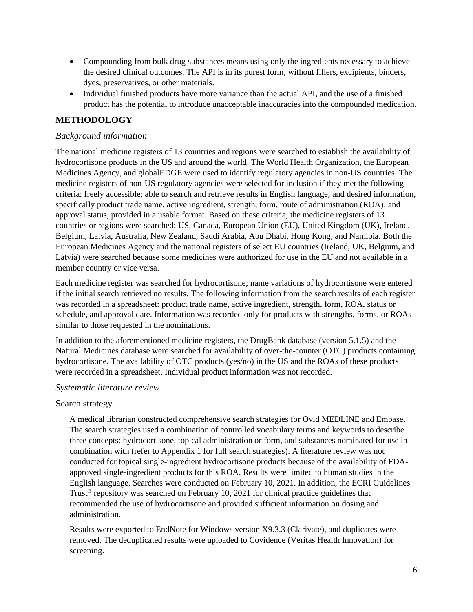- Compounding from bulk drug substances means using only the ingredients necessary to achieve the desired clinical outcomes. The API is in its purest form, without fillers, excipients, binders, dyes, preservatives, or other materials.
- Individual finished products have more variance than the actual API, and the use of a finished product has the potential to introduce unacceptable inaccuracies into the compounded medication.

## <span id="page-5-0"></span>**METHODOLOGY**

#### <span id="page-5-1"></span>*Background information*

The national medicine registers of 13 countries and regions were searched to establish the availability of hydrocortisone products in the US and around the world. The World Health Organization, the European Medicines Agency, and globalEDGE were used to identify regulatory agencies in non-US countries. The medicine registers of non-US regulatory agencies were selected for inclusion if they met the following criteria: freely accessible; able to search and retrieve results in English language; and desired information, specifically product trade name, active ingredient, strength, form, route of administration (ROA), and approval status, provided in a usable format. Based on these criteria, the medicine registers of 13 countries or regions were searched: US, Canada, European Union (EU), United Kingdom (UK), Ireland, Belgium, Latvia, Australia, New Zealand, Saudi Arabia, Abu Dhabi, Hong Kong, and Namibia. Both the European Medicines Agency and the national registers of select EU countries (Ireland, UK, Belgium, and Latvia) were searched because some medicines were authorized for use in the EU and not available in a member country or vice versa.

Each medicine register was searched for hydrocortisone; name variations of hydrocortisone were entered if the initial search retrieved no results. The following information from the search results of each register was recorded in a spreadsheet: product trade name, active ingredient, strength, form, ROA, status or schedule, and approval date. Information was recorded only for products with strengths, forms, or ROAs similar to those requested in the nominations.

In addition to the aforementioned medicine registers, the DrugBank database (version 5.1.5) and the Natural Medicines database were searched for availability of over-the-counter (OTC) products containing hydrocortisone. The availability of OTC products (yes/no) in the US and the ROAs of these products were recorded in a spreadsheet. Individual product information was not recorded.

#### <span id="page-5-2"></span>*Systematic literature review*

#### Search strategy

A medical librarian constructed comprehensive search strategies for Ovid MEDLINE and Embase. The search strategies used a combination of controlled vocabulary terms and keywords to describe three concepts: hydrocortisone, topical administration or form, and substances nominated for use in combination with (refer to Appendix 1 for full search strategies). A literature review was not conducted for topical single-ingredient hydrocortisone products because of the availability of FDAapproved single-ingredient products for this ROA. Results were limited to human studies in the English language. Searches were conducted on February 10, 2021. In addition, the ECRI Guidelines Trust<sup>®</sup> repository was searched on February 10, 2021 for clinical practice guidelines that recommended the use of hydrocortisone and provided sufficient information on dosing and administration.

Results were exported to EndNote for Windows version X9.3.3 (Clarivate), and duplicates were removed. The deduplicated results were uploaded to Covidence (Veritas Health Innovation) for screening.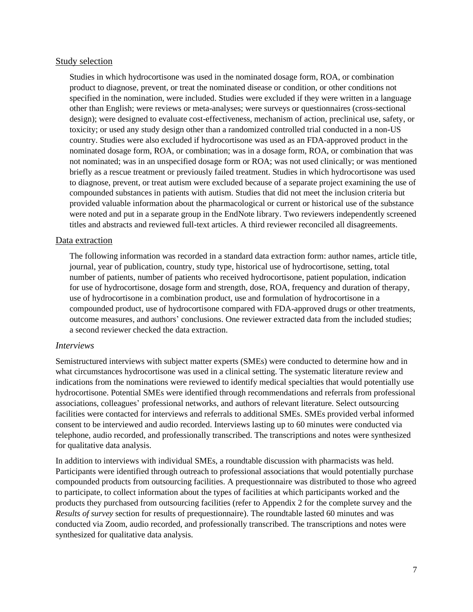#### Study selection

Studies in which hydrocortisone was used in the nominated dosage form, ROA, or combination product to diagnose, prevent, or treat the nominated disease or condition, or other conditions not specified in the nomination, were included. Studies were excluded if they were written in a language other than English; were reviews or meta-analyses; were surveys or questionnaires (cross-sectional design); were designed to evaluate cost-effectiveness, mechanism of action, preclinical use, safety, or toxicity; or used any study design other than a randomized controlled trial conducted in a non-US country. Studies were also excluded if hydrocortisone was used as an FDA-approved product in the nominated dosage form, ROA, or combination; was in a dosage form, ROA, or combination that was not nominated; was in an unspecified dosage form or ROA; was not used clinically; or was mentioned briefly as a rescue treatment or previously failed treatment. Studies in which hydrocortisone was used to diagnose, prevent, or treat autism were excluded because of a separate project examining the use of compounded substances in patients with autism. Studies that did not meet the inclusion criteria but provided valuable information about the pharmacological or current or historical use of the substance were noted and put in a separate group in the EndNote library. Two reviewers independently screened titles and abstracts and reviewed full-text articles. A third reviewer reconciled all disagreements.

#### Data extraction

The following information was recorded in a standard data extraction form: author names, article title, journal, year of publication, country, study type, historical use of hydrocortisone, setting, total number of patients, number of patients who received hydrocortisone, patient population, indication for use of hydrocortisone, dosage form and strength, dose, ROA, frequency and duration of therapy, use of hydrocortisone in a combination product, use and formulation of hydrocortisone in a compounded product, use of hydrocortisone compared with FDA-approved drugs or other treatments, outcome measures, and authors' conclusions. One reviewer extracted data from the included studies; a second reviewer checked the data extraction.

#### <span id="page-6-0"></span>*Interviews*

Semistructured interviews with subject matter experts (SMEs) were conducted to determine how and in what circumstances hydrocortisone was used in a clinical setting. The systematic literature review and indications from the nominations were reviewed to identify medical specialties that would potentially use hydrocortisone. Potential SMEs were identified through recommendations and referrals from professional associations, colleagues' professional networks, and authors of relevant literature. Select outsourcing facilities were contacted for interviews and referrals to additional SMEs. SMEs provided verbal informed consent to be interviewed and audio recorded. Interviews lasting up to 60 minutes were conducted via telephone, audio recorded, and professionally transcribed. The transcriptions and notes were synthesized for qualitative data analysis.

In addition to interviews with individual SMEs, a roundtable discussion with pharmacists was held. Participants were identified through outreach to professional associations that would potentially purchase compounded products from outsourcing facilities. A prequestionnaire was distributed to those who agreed to participate, to collect information about the types of facilities at which participants worked and the products they purchased from outsourcing facilities (refer to Appendix 2 for the complete survey and the *Results of survey* section for results of prequestionnaire). The roundtable lasted 60 minutes and was conducted via Zoom, audio recorded, and professionally transcribed. The transcriptions and notes were synthesized for qualitative data analysis.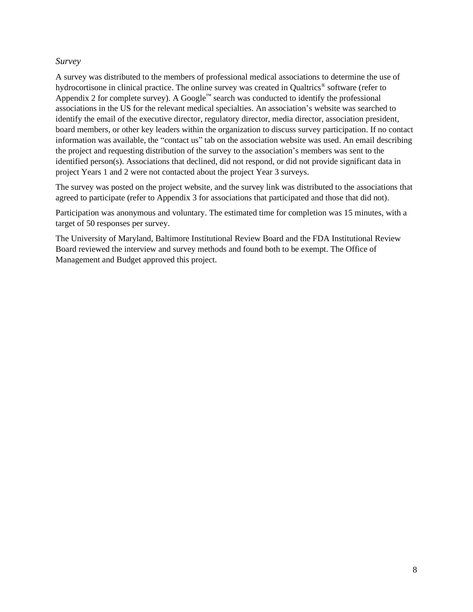#### <span id="page-7-0"></span>*Survey*

A survey was distributed to the members of professional medical associations to determine the use of hydrocortisone in clinical practice. The online survey was created in Qualtrics® software (refer to Appendix 2 for complete survey). A Google<sup>™</sup> search was conducted to identify the professional associations in the US for the relevant medical specialties. An association's website was searched to identify the email of the executive director, regulatory director, media director, association president, board members, or other key leaders within the organization to discuss survey participation. If no contact information was available, the "contact us" tab on the association website was used. An email describing the project and requesting distribution of the survey to the association's members was sent to the identified person(s). Associations that declined, did not respond, or did not provide significant data in project Years 1 and 2 were not contacted about the project Year 3 surveys.

The survey was posted on the project website, and the survey link was distributed to the associations that agreed to participate (refer to Appendix 3 for associations that participated and those that did not).

Participation was anonymous and voluntary. The estimated time for completion was 15 minutes, with a target of 50 responses per survey.

The University of Maryland, Baltimore Institutional Review Board and the FDA Institutional Review Board reviewed the interview and survey methods and found both to be exempt. The Office of Management and Budget approved this project.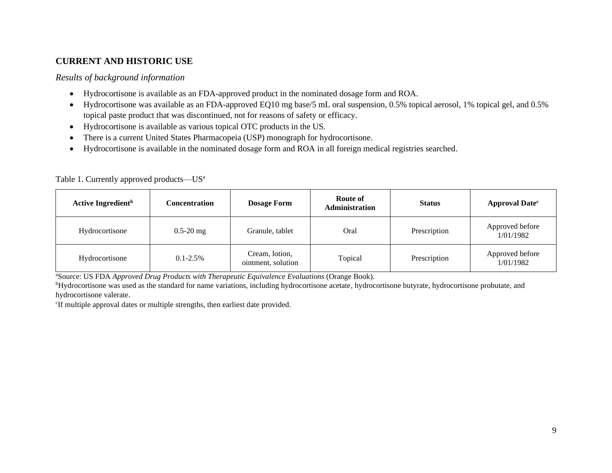## **CURRENT AND HISTORIC USE**

#### *Results of background information*

- Hydrocortisone is available as an FDA-approved product in the nominated dosage form and ROA.
- Hydrocortisone was available as an FDA-approved EQ10 mg base/5 mL oral suspension, 0.5% topical aerosol, 1% topical gel, and 0.5% topical paste product that was discontinued, not for reasons of safety or efficacy.
- Hydrocortisone is available as various topical OTC products in the US.
- There is a current United States Pharmacopeia (USP) monograph for hydrocortisone.
- Hydrocortisone is available in the nominated dosage form and ROA in all foreign medical registries searched.

<span id="page-8-1"></span><span id="page-8-0"></span>

| Active Ingredient <sup>b</sup> | Concentration | <b>Dosage Form</b>                   | <b>Route of</b><br><b>Administration</b> | <b>Status</b> | <b>Approval Datec</b>        |
|--------------------------------|---------------|--------------------------------------|------------------------------------------|---------------|------------------------------|
| Hydrocortisone                 | $0.5 - 20$ mg | Granule, tablet                      | Oral                                     | Prescription  | Approved before<br>1/01/1982 |
| Hydrocortisone                 | $0.1 - 2.5\%$ | Cream, lotion,<br>ointment, solution | Topical                                  | Prescription  | Approved before<br>1/01/1982 |

Table 1. Currently approved products—US<sup>a</sup>

<sup>a</sup>Source: US FDA *Approved Drug Products with Therapeutic Equivalence Evaluations* (Orange Book).

<sup>b</sup>Hydrocortisone was used as the standard for name variations, including hydrocortisone acetate, hydrocortisone butyrate, hydrocortisone probutate, and hydrocortisone valerate.

<span id="page-8-2"></span>c If multiple approval dates or multiple strengths, then earliest date provided.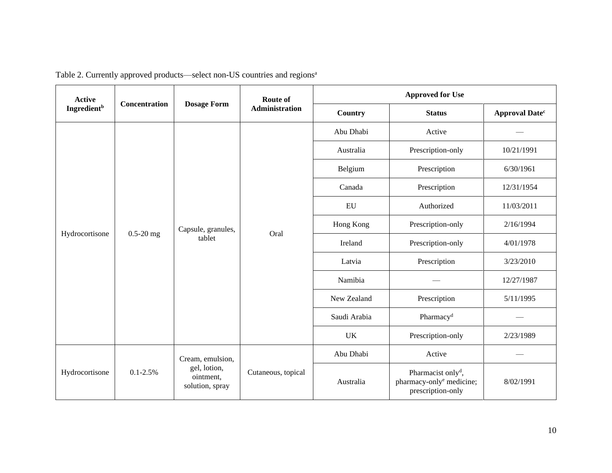<span id="page-9-0"></span>

| <b>Active</b>                  | <b>Concentration</b> | <b>Dosage Form</b>                           | Route of              | <b>Approved for Use</b> |                                                                                             |                       |  |  |  |  |  |  |  |  |        |              |           |
|--------------------------------|----------------------|----------------------------------------------|-----------------------|-------------------------|---------------------------------------------------------------------------------------------|-----------------------|--|--|--|--|--|--|--|--|--------|--------------|-----------|
| <b>Ingredient</b> <sup>b</sup> |                      |                                              | <b>Administration</b> | Country                 | <b>Status</b>                                                                               | <b>Approval Datec</b> |  |  |  |  |  |  |  |  |        |              |           |
|                                |                      |                                              |                       | Abu Dhabi               | Active                                                                                      |                       |  |  |  |  |  |  |  |  |        |              |           |
|                                |                      |                                              |                       | Australia               | Prescription-only                                                                           | 10/21/1991            |  |  |  |  |  |  |  |  |        |              |           |
|                                |                      |                                              |                       | Belgium                 | Prescription                                                                                | 6/30/1961             |  |  |  |  |  |  |  |  |        |              |           |
|                                |                      |                                              |                       | Canada                  | Prescription                                                                                | 12/31/1954            |  |  |  |  |  |  |  |  |        |              |           |
|                                | $0.5 - 20$ mg        |                                              |                       | <b>EU</b>               | Authorized                                                                                  | 11/03/2011            |  |  |  |  |  |  |  |  |        |              |           |
| Hydrocortisone                 |                      | Capsule, granules,<br>tablet                 | Oral                  | Hong Kong               | Prescription-only                                                                           | 2/16/1994             |  |  |  |  |  |  |  |  |        |              |           |
|                                |                      |                                              |                       | Ireland                 | Prescription-only                                                                           | 4/01/1978             |  |  |  |  |  |  |  |  |        |              |           |
|                                |                      |                                              |                       |                         |                                                                                             |                       |  |  |  |  |  |  |  |  | Latvia | Prescription | 3/23/2010 |
|                                |                      |                                              |                       | Namibia                 |                                                                                             | 12/27/1987            |  |  |  |  |  |  |  |  |        |              |           |
|                                |                      |                                              |                       | New Zealand             | Prescription                                                                                | 5/11/1995             |  |  |  |  |  |  |  |  |        |              |           |
|                                |                      |                                              |                       | Saudi Arabia            | Pharmacy <sup>d</sup>                                                                       |                       |  |  |  |  |  |  |  |  |        |              |           |
|                                |                      |                                              |                       | <b>UK</b>               | Prescription-only                                                                           | 2/23/1989             |  |  |  |  |  |  |  |  |        |              |           |
|                                |                      | Cream, emulsion,                             |                       | Abu Dhabi               | Active                                                                                      |                       |  |  |  |  |  |  |  |  |        |              |           |
| Hydrocortisone                 | $0.1 - 2.5\%$        | gel, lotion,<br>ointment,<br>solution, spray | Cutaneous, topical    | Australia               | Pharmacist only <sup>d</sup> ,<br>pharmacy-only <sup>e</sup> medicine;<br>prescription-only | 8/02/1991             |  |  |  |  |  |  |  |  |        |              |           |

Table 2. Currently approved products—select non-US countries and regions<sup>a</sup>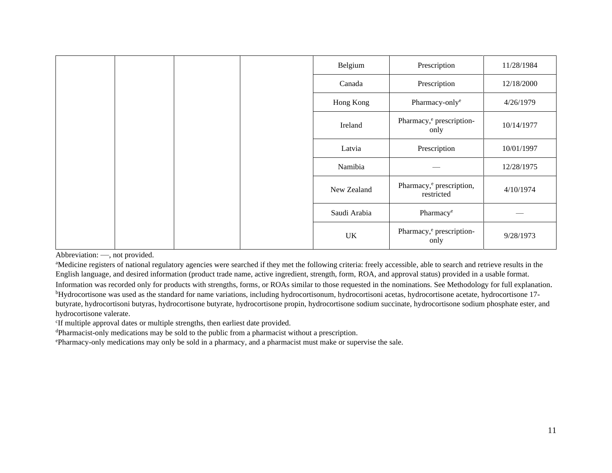| Belgium      | Prescription                                       | 11/28/1984 |
|--------------|----------------------------------------------------|------------|
| Canada       | Prescription                                       | 12/18/2000 |
| Hong Kong    | Pharmacy-only <sup>e</sup>                         | 4/26/1979  |
| Ireland      | Pharmacy, <sup>e</sup> prescription-<br>only       | 10/14/1977 |
| Latvia       | Prescription                                       | 10/01/1997 |
| Namibia      |                                                    | 12/28/1975 |
| New Zealand  | Pharmacy, <sup>e</sup> prescription,<br>restricted | 4/10/1974  |
| Saudi Arabia | Pharmacy <sup>e</sup>                              |            |
| UK           | Pharmacy, <sup>e</sup> prescription-<br>only       | 9/28/1973  |

Abbreviation: —, not provided.

<sup>a</sup>Medicine registers of national regulatory agencies were searched if they met the following criteria: freely accessible, able to search and retrieve results in the English language, and desired information (product trade name, active ingredient, strength, form, ROA, and approval status) provided in a usable format.

Information was recorded only for products with strengths, forms, or ROAs similar to those requested in the nominations. See Methodology for full explanation*.* <sup>b</sup>Hydrocortisone was used as the standard for name variations, including hydrocortisonum, hydrocortisoni acetas, hydrocortisone acetate, hydrocortisone 17 butyrate, hydrocortisoni butyras, hydrocortisone butyrate, hydrocortisone propin, hydrocortisone sodium succinate, hydrocortisone sodium phosphate ester, and hydrocortisone valerate.

c If multiple approval dates or multiple strengths, then earliest date provided.

<sup>d</sup>Pharmacist-only medications may be sold to the public from a pharmacist without a prescription.

ePharmacy-only medications may only be sold in a pharmacy, and a pharmacist must make or supervise the sale.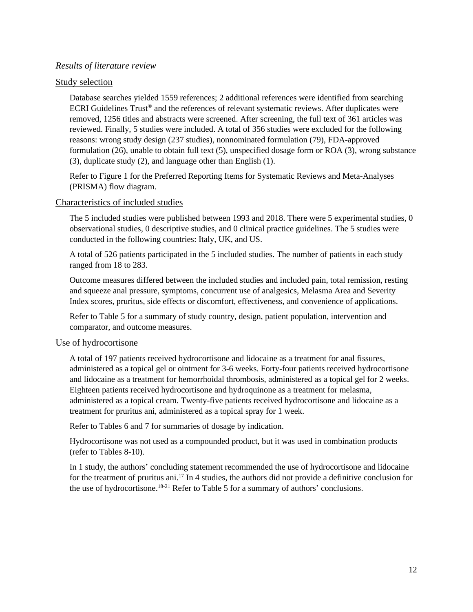#### <span id="page-11-0"></span>*Results of literature review*

#### Study selection

Database searches yielded 1559 references; 2 additional references were identified from searching ECRI Guidelines Trust<sup>®</sup> and the references of relevant systematic reviews. After duplicates were removed, 1256 titles and abstracts were screened. After screening, the full text of 361 articles was reviewed. Finally, 5 studies were included. A total of 356 studies were excluded for the following reasons: wrong study design (237 studies), nonnominated formulation (79), FDA-approved formulation (26), unable to obtain full text (5), unspecified dosage form or ROA (3), wrong substance (3), duplicate study (2), and language other than English (1).

Refer to Figure 1 for the Preferred Reporting Items for Systematic Reviews and Meta-Analyses (PRISMA) flow diagram.

#### Characteristics of included studies

The 5 included studies were published between 1993 and 2018. There were 5 experimental studies, 0 observational studies, 0 descriptive studies, and 0 clinical practice guidelines. The 5 studies were conducted in the following countries: Italy, UK, and US.

A total of 526 patients participated in the 5 included studies. The number of patients in each study ranged from 18 to 283.

Outcome measures differed between the included studies and included pain, total remission, resting and squeeze anal pressure, symptoms, concurrent use of analgesics, Melasma Area and Severity Index scores, pruritus, side effects or discomfort, effectiveness, and convenience of applications.

Refer to Table 5 for a summary of study country, design, patient population, intervention and comparator, and outcome measures.

#### Use of hydrocortisone

A total of 197 patients received hydrocortisone and lidocaine as a treatment for anal fissures, administered as a topical gel or ointment for 3-6 weeks. Forty-four patients received hydrocortisone and lidocaine as a treatment for hemorrhoidal thrombosis, administered as a topical gel for 2 weeks. Eighteen patients received hydrocortisone and hydroquinone as a treatment for melasma, administered as a topical cream. Twenty-five patients received hydrocortisone and lidocaine as a treatment for pruritus ani, administered as a topical spray for 1 week.

Refer to Tables 6 and 7 for summaries of dosage by indication.

Hydrocortisone was not used as a compounded product, but it was used in combination products (refer to Tables 8-10).

In 1 study, the authors' concluding statement recommended the use of hydrocortisone and lidocaine for the treatment of pruritus ani. <sup>17</sup> In 4 studies, the authors did not provide a definitive conclusion for the use of hydrocortisone.<sup>18-21</sup> Refer to Table 5 for a summary of authors' conclusions.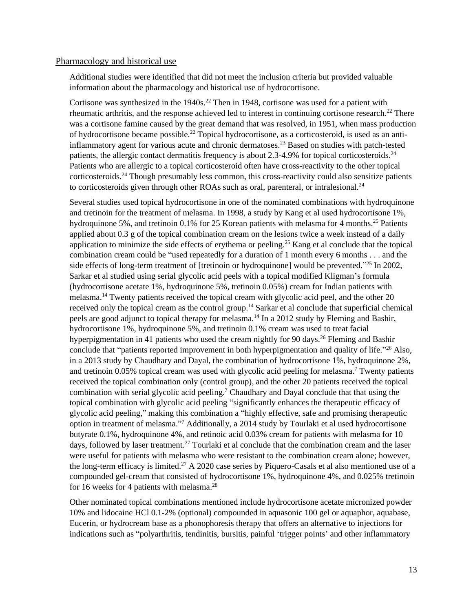#### Pharmacology and historical use

Additional studies were identified that did not meet the inclusion criteria but provided valuable information about the pharmacology and historical use of hydrocortisone.

Cortisone was synthesized in the  $1940s$ <sup>22</sup> Then in 1948, cortisone was used for a patient with rheumatic arthritis, and the response achieved led to interest in continuing cortisone research.<sup>22</sup> There was a cortisone famine caused by the great demand that was resolved, in 1951, when mass production of hydrocortisone became possible.<sup>22</sup> Topical hydrocortisone, as a corticosteroid, is used as an antiinflammatory agent for various acute and chronic dermatoses.<sup>23</sup> Based on studies with patch-tested patients, the allergic contact dermatitis frequency is about 2.3-4.9% for topical corticosteroids.<sup>24</sup> Patients who are allergic to a topical corticosteroid often have cross-reactivity to the other topical corticosteroids.<sup>24</sup> Though presumably less common, this cross-reactivity could also sensitize patients to corticosteroids given through other ROAs such as oral, parenteral, or intralesional.<sup>24</sup>

Several studies used topical hydrocortisone in one of the nominated combinations with hydroquinone and tretinoin for the treatment of melasma. In 1998, a study by Kang et al used hydrocortisone 1%, hydroquinone 5%, and tretinoin 0.1% for 25 Korean patients with melasma for 4 months.<sup>25</sup> Patients applied about 0.3 g of the topical combination cream on the lesions twice a week instead of a daily application to minimize the side effects of erythema or peeling. <sup>25</sup> Kang et al conclude that the topical combination cream could be "used repeatedly for a duration of 1 month every 6 months . . . and the side effects of long-term treatment of [tretinoin or hydroquinone] would be prevented."<sup>25</sup> In 2002, Sarkar et al studied using serial glycolic acid peels with a topical modified Kligman's formula (hydrocortisone acetate 1%, hydroquinone 5%, tretinoin 0.05%) cream for Indian patients with melasma.<sup>14</sup> Twenty patients received the topical cream with glycolic acid peel, and the other 20 received only the topical cream as the control group.<sup>14</sup> Sarkar et al conclude that superficial chemical peels are good adjunct to topical therapy for melasma.<sup>14</sup> In a 2012 study by Fleming and Bashir, hydrocortisone 1%, hydroquinone 5%, and tretinoin 0.1% cream was used to treat facial hyperpigmentation in 41 patients who used the cream nightly for 90 days.<sup>26</sup> Fleming and Bashir conclude that "patients reported improvement in both hyperpigmentation and quality of life."<sup>26</sup> Also, in a 2013 study by Chaudhary and Dayal, the combination of hydrocortisone 1%, hydroquinone 2%, and tretinoin 0.05% topical cream was used with glycolic acid peeling for melasma.<sup>7</sup> Twenty patients received the topical combination only (control group), and the other 20 patients received the topical combination with serial glycolic acid peeling.<sup>7</sup> Chaudhary and Dayal conclude that that using the topical combination with glycolic acid peeling "significantly enhances the therapeutic efficacy of glycolic acid peeling," making this combination a "highly effective, safe and promising therapeutic option in treatment of melasma." <sup>7</sup> Additionally, a 2014 study by Tourlaki et al used hydrocortisone butyrate 0.1%, hydroquinone 4%, and retinoic acid 0.03% cream for patients with melasma for 10 days, followed by laser treatment.<sup>27</sup> Tourlaki et al conclude that the combination cream and the laser were useful for patients with melasma who were resistant to the combination cream alone; however, the long-term efficacy is limited.<sup>27</sup> A 2020 case series by Piquero-Casals et al also mentioned use of a compounded gel-cream that consisted of hydrocortisone 1%, hydroquinone 4%, and 0.025% tretinoin for 16 weeks for 4 patients with melasma.<sup>28</sup>

Other nominated topical combinations mentioned include hydrocortisone acetate micronized powder 10% and lidocaine HCl 0.1-2% (optional) compounded in aquasonic 100 gel or aquaphor, aquabase, Eucerin, or hydrocream base as a phonophoresis therapy that offers an alternative to injections for indications such as "polyarthritis, tendinitis, bursitis, painful 'trigger points' and other inflammatory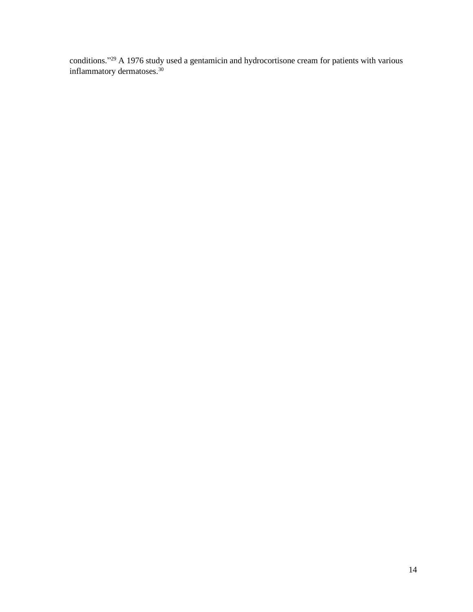conditions." <sup>29</sup> A 1976 study used a gentamicin and hydrocortisone cream for patients with various inflammatory dermatoses.<sup>30</sup>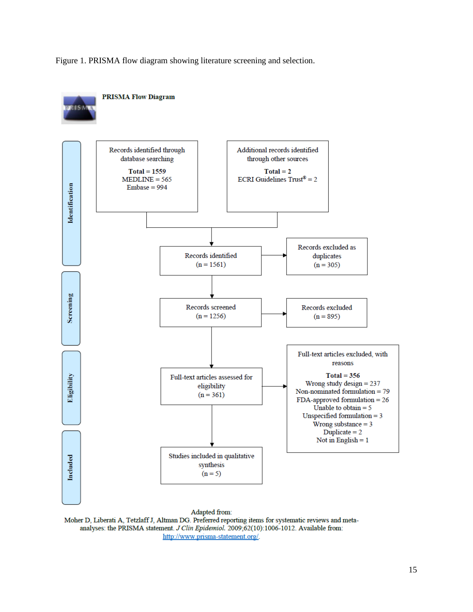Figure 1. PRISMA flow diagram showing literature screening and selection.



Moher D, Liberati A, Tetzlaff J, Altman DG. Preferred reporting items for systematic reviews and metaanalyses: the PRISMA statement. J Clin Epidemiol. 2009;62(10):1006-1012. Available from: http://www.prisma-statement.org/.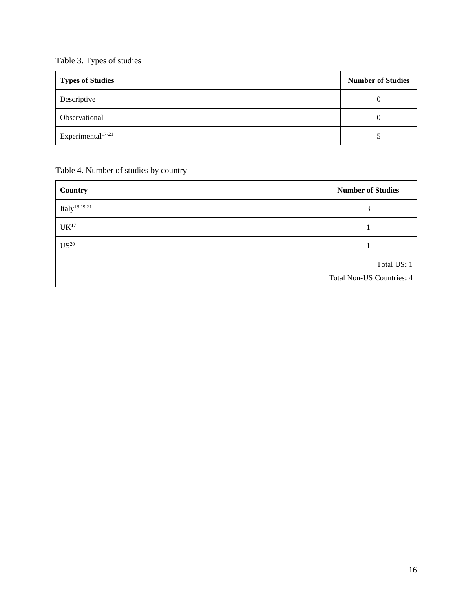## <span id="page-15-0"></span>Table 3. Types of studies

| <b>Types of Studies</b>       | <b>Number of Studies</b> |
|-------------------------------|--------------------------|
| Descriptive                   |                          |
| Observational                 |                          |
| Experimental <sup>17-21</sup> |                          |

## <span id="page-15-1"></span>Table 4. Number of studies by country

| Country                   | <b>Number of Studies</b>         |
|---------------------------|----------------------------------|
| Italy <sup>18,19,21</sup> | 3                                |
| $\mathrm{UK}^{17}$        |                                  |
| $\mathrm{US}^{20}$        |                                  |
|                           | Total US: 1                      |
|                           | <b>Total Non-US Countries: 4</b> |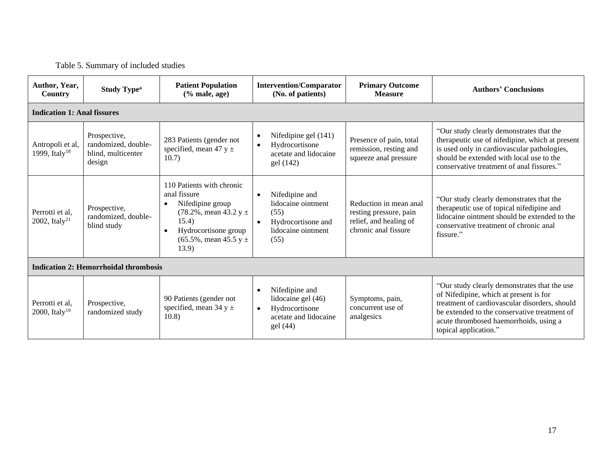## Table 5. Summary of included studies

<span id="page-16-0"></span>

| Author, Year,<br>Country                      | <b>Study Type<sup>a</sup></b>                                       | <b>Patient Population</b><br>$(\%$ male, age)                                                                                                                                          | <b>Intervention/Comparator</b><br>(No. of patients)                                                                        | <b>Primary Outcome</b><br><b>Measure</b>                                                           | <b>Authors' Conclusions</b>                                                                                                                                                                                                                                |  |  |  |
|-----------------------------------------------|---------------------------------------------------------------------|----------------------------------------------------------------------------------------------------------------------------------------------------------------------------------------|----------------------------------------------------------------------------------------------------------------------------|----------------------------------------------------------------------------------------------------|------------------------------------------------------------------------------------------------------------------------------------------------------------------------------------------------------------------------------------------------------------|--|--|--|
| <b>Indication 1: Anal fissures</b>            |                                                                     |                                                                                                                                                                                        |                                                                                                                            |                                                                                                    |                                                                                                                                                                                                                                                            |  |  |  |
| Antropoli et al,<br>1999, Italy <sup>18</sup> | Prospective,<br>randomized, double-<br>blind, multicenter<br>design | 283 Patients (gender not<br>specified, mean 47 y $\pm$<br>10.7)                                                                                                                        | Nifedipine gel (141)<br>$\bullet$<br>Hydrocortisone<br>acetate and lidocaine<br>gel (142)                                  | Presence of pain, total<br>remission, resting and<br>squeeze anal pressure                         | "Our study clearly demonstrates that the<br>therapeutic use of nifedipine, which at present<br>is used only in cardiovascular pathologies,<br>should be extended with local use to the<br>conservative treatment of anal fissures."                        |  |  |  |
| Perrotti et al,<br>2002, Italy <sup>21</sup>  | Prospective,<br>randomized, double-<br>blind study                  | 110 Patients with chronic<br>anal fissure<br>Nifedipine group<br>$(78.2\%$ , mean 43.2 y $\pm$<br>15.4)<br>Hydrocortisone group<br>$\bullet$<br>$(65.5\%$ , mean 45.5 y $\pm$<br>13.9) | Nifedipine and<br>$\bullet$<br>lidocaine ointment<br>(55)<br>Hydrocortisone and<br>$\bullet$<br>lidocaine ointment<br>(55) | Reduction in mean anal<br>resting pressure, pain<br>relief, and healing of<br>chronic anal fissure | "Our study clearly demonstrates that the<br>therapeutic use of topical nifedipine and<br>lidocaine ointment should be extended to the<br>conservative treatment of chronic anal<br>fissure."                                                               |  |  |  |
|                                               | <b>Indication 2: Hemorrhoidal thrombosis</b>                        |                                                                                                                                                                                        |                                                                                                                            |                                                                                                    |                                                                                                                                                                                                                                                            |  |  |  |
| Perrotti et al,<br>2000, Italy <sup>19</sup>  | Prospective,<br>randomized study                                    | 90 Patients (gender not<br>specified, mean 34 $y \pm$<br>10.8)                                                                                                                         | Nifedipine and<br>lidocaine gel (46)<br>Hydrocortisone<br>$\bullet$<br>acetate and lidocaine<br>gel (44)                   | Symptoms, pain,<br>concurrent use of<br>analgesics                                                 | "Our study clearly demonstrates that the use<br>of Nifedipine, which at present is for<br>treatment of cardiovascular disorders, should<br>be extended to the conservative treatment of<br>acute thrombosed haemorrhoids, using a<br>topical application." |  |  |  |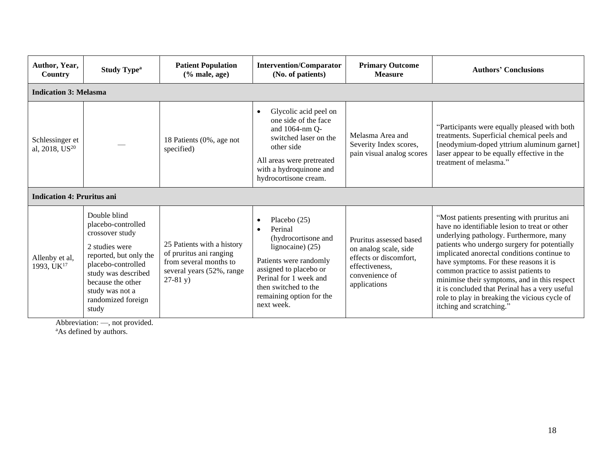| Author, Year,<br>Country                      | <b>Study Type<sup>a</sup></b>                                                                                                                                                                                         | <b>Patient Population</b><br>$(% \mathbf{A})$ (% male, age)                                                                | <b>Intervention/Comparator</b><br>(No. of patients)                                                                                                                                                                  | <b>Primary Outcome</b><br><b>Measure</b>                                                                                       | <b>Authors' Conclusions</b>                                                                                                                                                                                                                                                                                                                                                                                                                                                                              |
|-----------------------------------------------|-----------------------------------------------------------------------------------------------------------------------------------------------------------------------------------------------------------------------|----------------------------------------------------------------------------------------------------------------------------|----------------------------------------------------------------------------------------------------------------------------------------------------------------------------------------------------------------------|--------------------------------------------------------------------------------------------------------------------------------|----------------------------------------------------------------------------------------------------------------------------------------------------------------------------------------------------------------------------------------------------------------------------------------------------------------------------------------------------------------------------------------------------------------------------------------------------------------------------------------------------------|
| <b>Indication 3: Melasma</b>                  |                                                                                                                                                                                                                       |                                                                                                                            |                                                                                                                                                                                                                      |                                                                                                                                |                                                                                                                                                                                                                                                                                                                                                                                                                                                                                                          |
| Schlessinger et<br>al, 2018, US <sup>20</sup> |                                                                                                                                                                                                                       | 18 Patients (0%, age not<br>specified)                                                                                     | Glycolic acid peel on<br>one side of the face<br>and 1064-nm Q-<br>switched laser on the<br>other side<br>All areas were pretreated<br>with a hydroquinone and<br>hydrocortisone cream.                              | Melasma Area and<br>Severity Index scores,<br>pain visual analog scores                                                        | "Participants were equally pleased with both<br>treatments. Superficial chemical peels and<br>[neodymium-doped yttrium aluminum garnet]<br>laser appear to be equally effective in the<br>treatment of melasma."                                                                                                                                                                                                                                                                                         |
| <b>Indication 4: Pruritus ani</b>             |                                                                                                                                                                                                                       |                                                                                                                            |                                                                                                                                                                                                                      |                                                                                                                                |                                                                                                                                                                                                                                                                                                                                                                                                                                                                                                          |
| Allenby et al,<br>1993, UK <sup>17</sup>      | Double blind<br>placebo-controlled<br>crossover study<br>2 studies were<br>reported, but only the<br>placebo-controlled<br>study was described<br>because the other<br>study was not a<br>randomized foreign<br>study | 25 Patients with a history<br>of pruritus ani ranging<br>from several months to<br>several years (52%, range<br>$27-81$ y) | Placebo $(25)$<br>Perinal<br>(hydrocortisone and<br>lignocaine) (25)<br>Patients were randomly<br>assigned to placebo or<br>Perinal for 1 week and<br>then switched to the<br>remaining option for the<br>next week. | Pruritus assessed based<br>on analog scale, side<br>effects or discomfort,<br>effectiveness,<br>convenience of<br>applications | "Most patients presenting with pruritus ani<br>have no identifiable lesion to treat or other<br>underlying pathology. Furthermore, many<br>patients who undergo surgery for potentially<br>implicated anorectal conditions continue to<br>have symptoms. For these reasons it is<br>common practice to assist patients to<br>minimise their symptoms, and in this respect<br>it is concluded that Perinal has a very useful<br>role to play in breaking the vicious cycle of<br>itching and scratching." |

Abbreviation: —, not provided. <sup>a</sup>As defined by authors.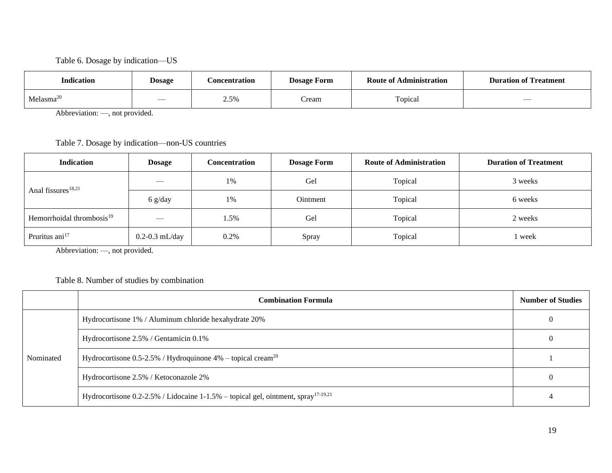#### Table 6. Dosage by indication—US

| <b>Indication</b>     | <b>Dosage</b>            | <b>Concentration</b> | <b>Dosage Form</b> | <b>Route of Administration</b> | <b>Duration of Treatment</b> |
|-----------------------|--------------------------|----------------------|--------------------|--------------------------------|------------------------------|
| Melasma <sup>20</sup> | $\overline{\phantom{a}}$ | 50/5<br>2.070        | ∠ream              | Topical                        |                              |

Abbreviation: —, not provided.

Table 7. Dosage by indication—non-US countries

<span id="page-18-0"></span>

| <b>Indication</b>                     | <b>Dosage</b>            | Concentration | <b>Dosage Form</b> | <b>Route of Administration</b> | <b>Duration of Treatment</b> |
|---------------------------------------|--------------------------|---------------|--------------------|--------------------------------|------------------------------|
| Anal fissures <sup>18,21</sup>        | $\overline{\phantom{a}}$ | 1%            | Gel                | Topical                        | 3 weeks                      |
|                                       | $6$ g/day                | 1%            | <b>Ointment</b>    | Topical                        | 6 weeks                      |
| Hemorrhoidal thrombosis <sup>19</sup> |                          | 1.5%          | Gel                | Topical                        | 2 weeks                      |
| Pruritus ani <sup>17</sup>            | $0.2 - 0.3$ mL/day       | 0.2%          | Spray              | Topical                        | l week                       |

Abbreviation: —, not provided.

#### <span id="page-18-1"></span>Table 8. Number of studies by combination

<span id="page-18-2"></span>

|           | <b>Combination Formula</b>                                                                       | <b>Number of Studies</b> |
|-----------|--------------------------------------------------------------------------------------------------|--------------------------|
| Nominated | Hydrocortisone 1% / Aluminum chloride hexahydrate 20%                                            |                          |
|           | Hydrocortisone 2.5% / Gentamicin 0.1%                                                            | O                        |
|           | Hydrocortisone $0.5$ -2.5% / Hydroquinone 4% – topical cream <sup>20</sup>                       |                          |
|           | Hydrocortisone 2.5% / Ketoconazole 2%                                                            | $\theta$                 |
|           | Hydrocortisone $0.2$ -2.5% / Lidocaine 1-1.5% – topical gel, ointment, spray <sup>17-19,21</sup> |                          |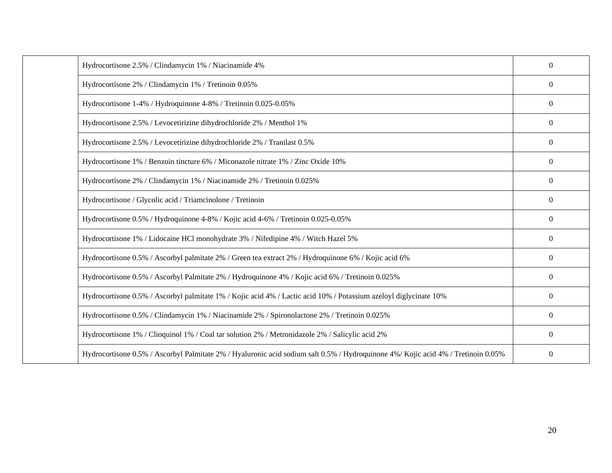| Hydrocortisone 2.5% / Clindamycin 1% / Niacinamide 4%                                                                             | $\mathbf{0}$   |
|-----------------------------------------------------------------------------------------------------------------------------------|----------------|
| Hydrocortisone 2% / Clindamycin 1% / Tretinoin 0.05%                                                                              | $\overline{0}$ |
| Hydrocortisone 1-4% / Hydroquinone 4-8% / Tretinoin 0.025-0.05%                                                                   | $\overline{0}$ |
| Hydrocortisone 2.5% / Levocetirizine dihydrochloride 2% / Menthol 1%                                                              | $\overline{0}$ |
| Hydrocortisone 2.5% / Levocetirizine dihydrochloride 2% / Tranilast 0.5%                                                          | $\overline{0}$ |
| Hydrocortisone 1% / Benzoin tincture 6% / Miconazole nitrate 1% / Zinc Oxide 10%                                                  | $\overline{0}$ |
| Hydrocortisone 2% / Clindamycin 1% / Niacinamide 2% / Tretinoin 0.025%                                                            | $\Omega$       |
| Hydrocortisone / Glycolic acid / Triamcinolone / Tretinoin                                                                        | $\overline{0}$ |
| Hydrocortisone 0.5% / Hydroquinone 4-8% / Kojic acid 4-6% / Tretinoin 0.025-0.05%                                                 | $\overline{0}$ |
| Hydrocortisone 1% / Lidocaine HCl monohydrate 3% / Nifedipine 4% / Witch Hazel 5%                                                 | $\overline{0}$ |
| Hydrocortisone 0.5% / Ascorbyl palmitate 2% / Green tea extract 2% / Hydroquinone 6% / Kojic acid 6%                              | $\overline{0}$ |
| Hydrocortisone 0.5% / Ascorbyl Palmitate 2% / Hydroquinone 4% / Kojic acid 6% / Tretinoin 0.025%                                  | $\overline{0}$ |
| Hydrocortisone 0.5% / Ascorbyl palmitate 1% / Kojic acid 4% / Lactic acid 10% / Potassium azeloyl diglycinate 10%                 | $\overline{0}$ |
| Hydrocortisone 0.5% / Clindamycin 1% / Niacinamide 2% / Spironolactone 2% / Tretinoin 0.025%                                      | $\overline{0}$ |
| Hydrocortisone 1% / Clioquinol 1% / Coal tar solution 2% / Metronidazole 2% / Salicylic acid 2%                                   | $\mathbf{0}$   |
| Hydrocortisone 0.5% / Ascorbyl Palmitate 2% / Hyaluronic acid sodium salt 0.5% / Hydroquinone 4%/ Kojic acid 4% / Tretinoin 0.05% | $\Omega$       |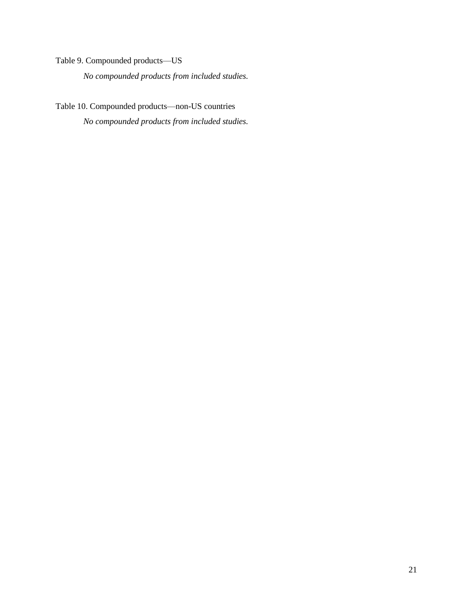<span id="page-20-0"></span>Table 9. Compounded products—US

*No compounded products from included studies.*

<span id="page-20-1"></span>Table 10. Compounded products—non-US countries *No compounded products from included studies.*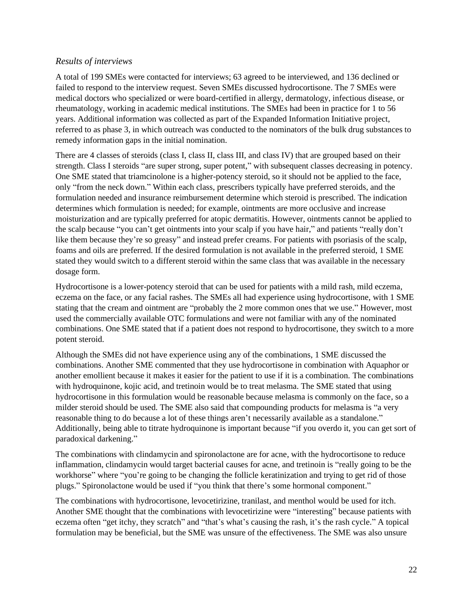#### <span id="page-21-0"></span>*Results of interviews*

A total of 199 SMEs were contacted for interviews; 63 agreed to be interviewed, and 136 declined or failed to respond to the interview request. Seven SMEs discussed hydrocortisone. The 7 SMEs were medical doctors who specialized or were board-certified in allergy, dermatology, infectious disease, or rheumatology, working in academic medical institutions. The SMEs had been in practice for 1 to 56 years. Additional information was collected as part of the Expanded Information Initiative project, referred to as phase 3, in which outreach was conducted to the nominators of the bulk drug substances to remedy information gaps in the initial nomination.

There are 4 classes of steroids (class I, class II, class III, and class IV) that are grouped based on their strength. Class I steroids "are super strong, super potent," with subsequent classes decreasing in potency. One SME stated that triamcinolone is a higher-potency steroid, so it should not be applied to the face, only "from the neck down." Within each class, prescribers typically have preferred steroids, and the formulation needed and insurance reimbursement determine which steroid is prescribed. The indication determines which formulation is needed; for example, ointments are more occlusive and increase moisturization and are typically preferred for atopic dermatitis. However, ointments cannot be applied to the scalp because "you can't get ointments into your scalp if you have hair," and patients "really don't like them because they're so greasy" and instead prefer creams. For patients with psoriasis of the scalp, foams and oils are preferred. If the desired formulation is not available in the preferred steroid, 1 SME stated they would switch to a different steroid within the same class that was available in the necessary dosage form.

Hydrocortisone is a lower-potency steroid that can be used for patients with a mild rash, mild eczema, eczema on the face, or any facial rashes. The SMEs all had experience using hydrocortisone, with 1 SME stating that the cream and ointment are "probably the 2 more common ones that we use." However, most used the commercially available OTC formulations and were not familiar with any of the nominated combinations. One SME stated that if a patient does not respond to hydrocortisone, they switch to a more potent steroid.

Although the SMEs did not have experience using any of the combinations, 1 SME discussed the combinations. Another SME commented that they use hydrocortisone in combination with Aquaphor or another emollient because it makes it easier for the patient to use if it is a combination. The combinations with hydroquinone, kojic acid, and tretinoin would be to treat melasma. The SME stated that using hydrocortisone in this formulation would be reasonable because melasma is commonly on the face, so a milder steroid should be used. The SME also said that compounding products for melasma is "a very reasonable thing to do because a lot of these things aren't necessarily available as a standalone." Additionally, being able to titrate hydroquinone is important because "if you overdo it, you can get sort of paradoxical darkening."

The combinations with clindamycin and spironolactone are for acne, with the hydrocortisone to reduce inflammation, clindamycin would target bacterial causes for acne, and tretinoin is "really going to be the workhorse" where "you're going to be changing the follicle keratinization and trying to get rid of those plugs." Spironolactone would be used if "you think that there's some hormonal component."

The combinations with hydrocortisone, levocetirizine, tranilast, and menthol would be used for itch. Another SME thought that the combinations with levocetirizine were "interesting" because patients with eczema often "get itchy, they scratch" and "that's what's causing the rash, it's the rash cycle." A topical formulation may be beneficial, but the SME was unsure of the effectiveness. The SME was also unsure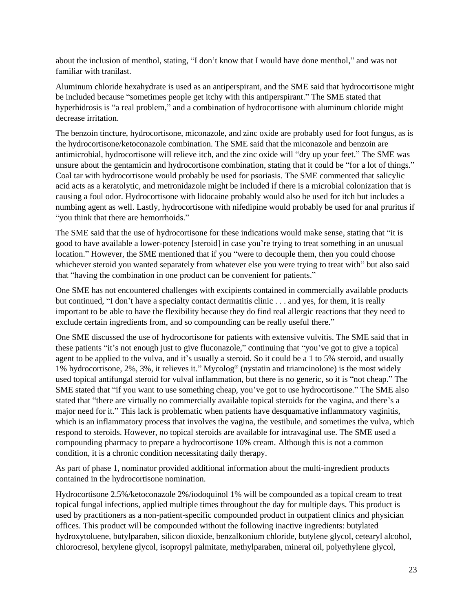about the inclusion of menthol, stating, "I don't know that I would have done menthol," and was not familiar with tranilast.

Aluminum chloride hexahydrate is used as an antiperspirant, and the SME said that hydrocortisone might be included because "sometimes people get itchy with this antiperspirant." The SME stated that hyperhidrosis is "a real problem," and a combination of hydrocortisone with aluminum chloride might decrease irritation.

The benzoin tincture, hydrocortisone, miconazole, and zinc oxide are probably used for foot fungus, as is the hydrocortisone/ketoconazole combination. The SME said that the miconazole and benzoin are antimicrobial, hydrocortisone will relieve itch, and the zinc oxide will "dry up your feet." The SME was unsure about the gentamicin and hydrocortisone combination, stating that it could be "for a lot of things." Coal tar with hydrocortisone would probably be used for psoriasis. The SME commented that salicylic acid acts as a keratolytic, and metronidazole might be included if there is a microbial colonization that is causing a foul odor. Hydrocortisone with lidocaine probably would also be used for itch but includes a numbing agent as well. Lastly, hydrocortisone with nifedipine would probably be used for anal pruritus if "you think that there are hemorrhoids."

The SME said that the use of hydrocortisone for these indications would make sense, stating that "it is good to have available a lower-potency [steroid] in case you're trying to treat something in an unusual location." However, the SME mentioned that if you "were to decouple them, then you could choose whichever steroid you wanted separately from whatever else you were trying to treat with" but also said that "having the combination in one product can be convenient for patients."

One SME has not encountered challenges with excipients contained in commercially available products but continued, "I don't have a specialty contact dermatitis clinic . . . and yes, for them, it is really important to be able to have the flexibility because they do find real allergic reactions that they need to exclude certain ingredients from, and so compounding can be really useful there."

One SME discussed the use of hydrocortisone for patients with extensive vulvitis. The SME said that in these patients "it's not enough just to give fluconazole," continuing that "you've got to give a topical agent to be applied to the vulva, and it's usually a steroid. So it could be a 1 to 5% steroid, and usually 1% hydrocortisone, 2%, 3%, it relieves it." Mycolog® (nystatin and triamcinolone) is the most widely used topical antifungal steroid for vulval inflammation, but there is no generic, so it is "not cheap." The SME stated that "if you want to use something cheap, you've got to use hydrocortisone." The SME also stated that "there are virtually no commercially available topical steroids for the vagina, and there's a major need for it." This lack is problematic when patients have desquamative inflammatory vaginitis, which is an inflammatory process that involves the vagina, the vestibule, and sometimes the vulva, which respond to steroids. However, no topical steroids are available for intravaginal use. The SME used a compounding pharmacy to prepare a hydrocortisone 10% cream. Although this is not a common condition, it is a chronic condition necessitating daily therapy.

As part of phase 1, nominator provided additional information about the multi-ingredient products contained in the hydrocortisone nomination.

Hydrocortisone 2.5%/ketoconazole 2%/iodoquinol 1% will be compounded as a topical cream to treat topical fungal infections, applied multiple times throughout the day for multiple days. This product is used by practitioners as a non-patient-specific compounded product in outpatient clinics and physician offices. This product will be compounded without the following inactive ingredients: butylated hydroxytoluene, butylparaben, silicon dioxide, benzalkonium chloride, butylene glycol, cetearyl alcohol, chlorocresol, hexylene glycol, isopropyl palmitate, methylparaben, mineral oil, polyethylene glycol,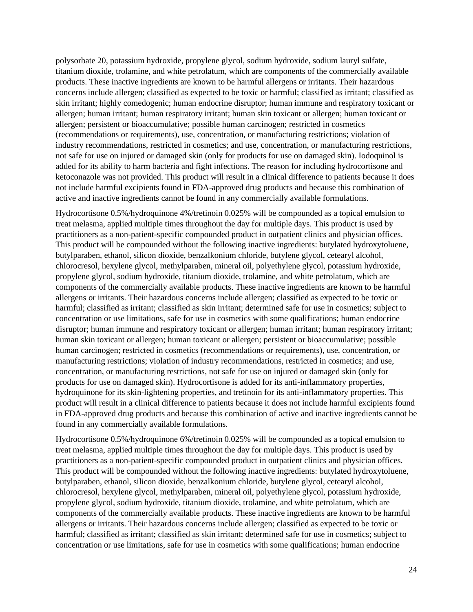polysorbate 20, potassium hydroxide, propylene glycol, sodium hydroxide, sodium lauryl sulfate, titanium dioxide, trolamine, and white petrolatum, which are components of the commercially available products. These inactive ingredients are known to be harmful allergens or irritants. Their hazardous concerns include allergen; classified as expected to be toxic or harmful; classified as irritant; classified as skin irritant; highly comedogenic; human endocrine disruptor; human immune and respiratory toxicant or allergen; human irritant; human respiratory irritant; human skin toxicant or allergen; human toxicant or allergen; persistent or bioaccumulative; possible human carcinogen; restricted in cosmetics (recommendations or requirements), use, concentration, or manufacturing restrictions; violation of industry recommendations, restricted in cosmetics; and use, concentration, or manufacturing restrictions, not safe for use on injured or damaged skin (only for products for use on damaged skin). Iodoquinol is added for its ability to harm bacteria and fight infections. The reason for including hydrocortisone and ketoconazole was not provided. This product will result in a clinical difference to patients because it does not include harmful excipients found in FDA-approved drug products and because this combination of active and inactive ingredients cannot be found in any commercially available formulations.

Hydrocortisone 0.5%/hydroquinone 4%/tretinoin 0.025% will be compounded as a topical emulsion to treat melasma, applied multiple times throughout the day for multiple days. This product is used by practitioners as a non-patient-specific compounded product in outpatient clinics and physician offices. This product will be compounded without the following inactive ingredients: butylated hydroxytoluene, butylparaben, ethanol, silicon dioxide, benzalkonium chloride, butylene glycol, cetearyl alcohol, chlorocresol, hexylene glycol, methylparaben, mineral oil, polyethylene glycol, potassium hydroxide, propylene glycol, sodium hydroxide, titanium dioxide, trolamine, and white petrolatum, which are components of the commercially available products. These inactive ingredients are known to be harmful allergens or irritants. Their hazardous concerns include allergen; classified as expected to be toxic or harmful; classified as irritant; classified as skin irritant; determined safe for use in cosmetics; subject to concentration or use limitations, safe for use in cosmetics with some qualifications; human endocrine disruptor; human immune and respiratory toxicant or allergen; human irritant; human respiratory irritant; human skin toxicant or allergen; human toxicant or allergen; persistent or bioaccumulative; possible human carcinogen; restricted in cosmetics (recommendations or requirements), use, concentration, or manufacturing restrictions; violation of industry recommendations, restricted in cosmetics; and use, concentration, or manufacturing restrictions, not safe for use on injured or damaged skin (only for products for use on damaged skin). Hydrocortisone is added for its anti-inflammatory properties, hydroquinone for its skin-lightening properties, and tretinoin for its anti-inflammatory properties. This product will result in a clinical difference to patients because it does not include harmful excipients found in FDA-approved drug products and because this combination of active and inactive ingredients cannot be found in any commercially available formulations.

Hydrocortisone 0.5%/hydroquinone 6%/tretinoin 0.025% will be compounded as a topical emulsion to treat melasma, applied multiple times throughout the day for multiple days. This product is used by practitioners as a non-patient-specific compounded product in outpatient clinics and physician offices. This product will be compounded without the following inactive ingredients: butylated hydroxytoluene, butylparaben, ethanol, silicon dioxide, benzalkonium chloride, butylene glycol, cetearyl alcohol, chlorocresol, hexylene glycol, methylparaben, mineral oil, polyethylene glycol, potassium hydroxide, propylene glycol, sodium hydroxide, titanium dioxide, trolamine, and white petrolatum, which are components of the commercially available products. These inactive ingredients are known to be harmful allergens or irritants. Their hazardous concerns include allergen; classified as expected to be toxic or harmful; classified as irritant; classified as skin irritant; determined safe for use in cosmetics; subject to concentration or use limitations, safe for use in cosmetics with some qualifications; human endocrine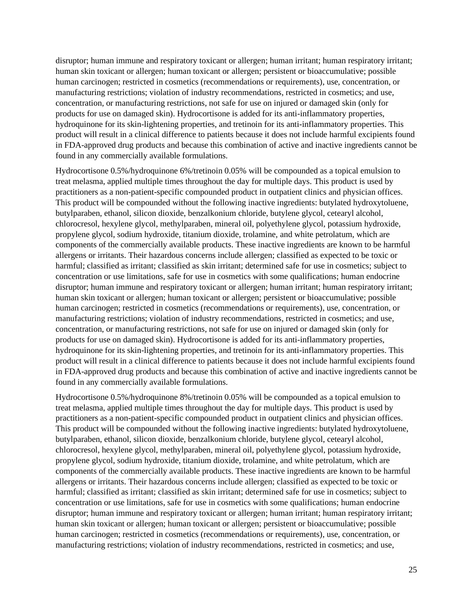disruptor; human immune and respiratory toxicant or allergen; human irritant; human respiratory irritant; human skin toxicant or allergen; human toxicant or allergen; persistent or bioaccumulative; possible human carcinogen; restricted in cosmetics (recommendations or requirements), use, concentration, or manufacturing restrictions; violation of industry recommendations, restricted in cosmetics; and use, concentration, or manufacturing restrictions, not safe for use on injured or damaged skin (only for products for use on damaged skin). Hydrocortisone is added for its anti-inflammatory properties, hydroquinone for its skin-lightening properties, and tretinoin for its anti-inflammatory properties. This product will result in a clinical difference to patients because it does not include harmful excipients found in FDA-approved drug products and because this combination of active and inactive ingredients cannot be found in any commercially available formulations.

Hydrocortisone 0.5%/hydroquinone 6%/tretinoin 0.05% will be compounded as a topical emulsion to treat melasma, applied multiple times throughout the day for multiple days. This product is used by practitioners as a non-patient-specific compounded product in outpatient clinics and physician offices. This product will be compounded without the following inactive ingredients: butylated hydroxytoluene, butylparaben, ethanol, silicon dioxide, benzalkonium chloride, butylene glycol, cetearyl alcohol, chlorocresol, hexylene glycol, methylparaben, mineral oil, polyethylene glycol, potassium hydroxide, propylene glycol, sodium hydroxide, titanium dioxide, trolamine, and white petrolatum, which are components of the commercially available products. These inactive ingredients are known to be harmful allergens or irritants. Their hazardous concerns include allergen; classified as expected to be toxic or harmful; classified as irritant; classified as skin irritant; determined safe for use in cosmetics; subject to concentration or use limitations, safe for use in cosmetics with some qualifications; human endocrine disruptor; human immune and respiratory toxicant or allergen; human irritant; human respiratory irritant; human skin toxicant or allergen; human toxicant or allergen; persistent or bioaccumulative; possible human carcinogen; restricted in cosmetics (recommendations or requirements), use, concentration, or manufacturing restrictions; violation of industry recommendations, restricted in cosmetics; and use, concentration, or manufacturing restrictions, not safe for use on injured or damaged skin (only for products for use on damaged skin). Hydrocortisone is added for its anti-inflammatory properties, hydroquinone for its skin-lightening properties, and tretinoin for its anti-inflammatory properties. This product will result in a clinical difference to patients because it does not include harmful excipients found in FDA-approved drug products and because this combination of active and inactive ingredients cannot be found in any commercially available formulations.

Hydrocortisone 0.5%/hydroquinone 8%/tretinoin 0.05% will be compounded as a topical emulsion to treat melasma, applied multiple times throughout the day for multiple days. This product is used by practitioners as a non-patient-specific compounded product in outpatient clinics and physician offices. This product will be compounded without the following inactive ingredients: butylated hydroxytoluene, butylparaben, ethanol, silicon dioxide, benzalkonium chloride, butylene glycol, cetearyl alcohol, chlorocresol, hexylene glycol, methylparaben, mineral oil, polyethylene glycol, potassium hydroxide, propylene glycol, sodium hydroxide, titanium dioxide, trolamine, and white petrolatum, which are components of the commercially available products. These inactive ingredients are known to be harmful allergens or irritants. Their hazardous concerns include allergen; classified as expected to be toxic or harmful; classified as irritant; classified as skin irritant; determined safe for use in cosmetics; subject to concentration or use limitations, safe for use in cosmetics with some qualifications; human endocrine disruptor; human immune and respiratory toxicant or allergen; human irritant; human respiratory irritant; human skin toxicant or allergen; human toxicant or allergen; persistent or bioaccumulative; possible human carcinogen; restricted in cosmetics (recommendations or requirements), use, concentration, or manufacturing restrictions; violation of industry recommendations, restricted in cosmetics; and use,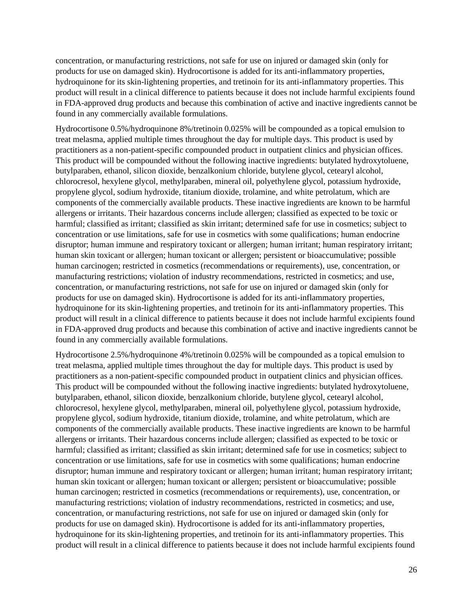concentration, or manufacturing restrictions, not safe for use on injured or damaged skin (only for products for use on damaged skin). Hydrocortisone is added for its anti-inflammatory properties, hydroquinone for its skin-lightening properties, and tretinoin for its anti-inflammatory properties. This product will result in a clinical difference to patients because it does not include harmful excipients found in FDA-approved drug products and because this combination of active and inactive ingredients cannot be found in any commercially available formulations.

Hydrocortisone 0.5%/hydroquinone 8%/tretinoin 0.025% will be compounded as a topical emulsion to treat melasma, applied multiple times throughout the day for multiple days. This product is used by practitioners as a non-patient-specific compounded product in outpatient clinics and physician offices. This product will be compounded without the following inactive ingredients: butylated hydroxytoluene, butylparaben, ethanol, silicon dioxide, benzalkonium chloride, butylene glycol, cetearyl alcohol, chlorocresol, hexylene glycol, methylparaben, mineral oil, polyethylene glycol, potassium hydroxide, propylene glycol, sodium hydroxide, titanium dioxide, trolamine, and white petrolatum, which are components of the commercially available products. These inactive ingredients are known to be harmful allergens or irritants. Their hazardous concerns include allergen; classified as expected to be toxic or harmful; classified as irritant; classified as skin irritant; determined safe for use in cosmetics; subject to concentration or use limitations, safe for use in cosmetics with some qualifications; human endocrine disruptor; human immune and respiratory toxicant or allergen; human irritant; human respiratory irritant; human skin toxicant or allergen; human toxicant or allergen; persistent or bioaccumulative; possible human carcinogen; restricted in cosmetics (recommendations or requirements), use, concentration, or manufacturing restrictions; violation of industry recommendations, restricted in cosmetics; and use, concentration, or manufacturing restrictions, not safe for use on injured or damaged skin (only for products for use on damaged skin). Hydrocortisone is added for its anti-inflammatory properties, hydroquinone for its skin-lightening properties, and tretinoin for its anti-inflammatory properties. This product will result in a clinical difference to patients because it does not include harmful excipients found in FDA-approved drug products and because this combination of active and inactive ingredients cannot be found in any commercially available formulations.

Hydrocortisone 2.5%/hydroquinone 4%/tretinoin 0.025% will be compounded as a topical emulsion to treat melasma, applied multiple times throughout the day for multiple days. This product is used by practitioners as a non-patient-specific compounded product in outpatient clinics and physician offices. This product will be compounded without the following inactive ingredients: butylated hydroxytoluene, butylparaben, ethanol, silicon dioxide, benzalkonium chloride, butylene glycol, cetearyl alcohol, chlorocresol, hexylene glycol, methylparaben, mineral oil, polyethylene glycol, potassium hydroxide, propylene glycol, sodium hydroxide, titanium dioxide, trolamine, and white petrolatum, which are components of the commercially available products. These inactive ingredients are known to be harmful allergens or irritants. Their hazardous concerns include allergen; classified as expected to be toxic or harmful; classified as irritant; classified as skin irritant; determined safe for use in cosmetics; subject to concentration or use limitations, safe for use in cosmetics with some qualifications; human endocrine disruptor; human immune and respiratory toxicant or allergen; human irritant; human respiratory irritant; human skin toxicant or allergen; human toxicant or allergen; persistent or bioaccumulative; possible human carcinogen; restricted in cosmetics (recommendations or requirements), use, concentration, or manufacturing restrictions; violation of industry recommendations, restricted in cosmetics; and use, concentration, or manufacturing restrictions, not safe for use on injured or damaged skin (only for products for use on damaged skin). Hydrocortisone is added for its anti-inflammatory properties, hydroquinone for its skin-lightening properties, and tretinoin for its anti-inflammatory properties. This product will result in a clinical difference to patients because it does not include harmful excipients found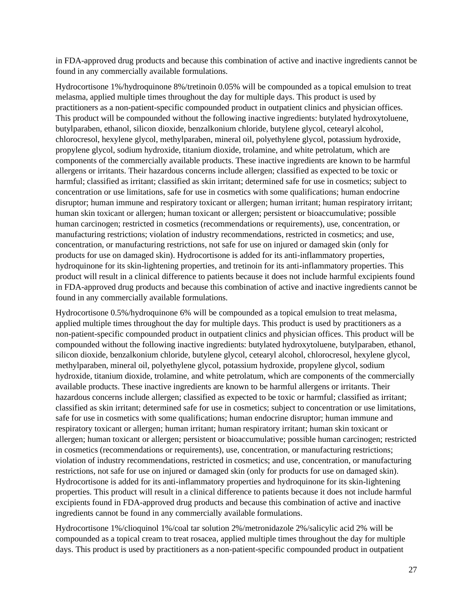in FDA-approved drug products and because this combination of active and inactive ingredients cannot be found in any commercially available formulations.

Hydrocortisone 1%/hydroquinone 8%/tretinoin 0.05% will be compounded as a topical emulsion to treat melasma, applied multiple times throughout the day for multiple days. This product is used by practitioners as a non-patient-specific compounded product in outpatient clinics and physician offices. This product will be compounded without the following inactive ingredients: butylated hydroxytoluene, butylparaben, ethanol, silicon dioxide, benzalkonium chloride, butylene glycol, cetearyl alcohol, chlorocresol, hexylene glycol, methylparaben, mineral oil, polyethylene glycol, potassium hydroxide, propylene glycol, sodium hydroxide, titanium dioxide, trolamine, and white petrolatum, which are components of the commercially available products. These inactive ingredients are known to be harmful allergens or irritants. Their hazardous concerns include allergen; classified as expected to be toxic or harmful; classified as irritant; classified as skin irritant; determined safe for use in cosmetics; subject to concentration or use limitations, safe for use in cosmetics with some qualifications; human endocrine disruptor; human immune and respiratory toxicant or allergen; human irritant; human respiratory irritant; human skin toxicant or allergen; human toxicant or allergen; persistent or bioaccumulative; possible human carcinogen; restricted in cosmetics (recommendations or requirements), use, concentration, or manufacturing restrictions; violation of industry recommendations, restricted in cosmetics; and use, concentration, or manufacturing restrictions, not safe for use on injured or damaged skin (only for products for use on damaged skin). Hydrocortisone is added for its anti-inflammatory properties, hydroquinone for its skin-lightening properties, and tretinoin for its anti-inflammatory properties. This product will result in a clinical difference to patients because it does not include harmful excipients found in FDA-approved drug products and because this combination of active and inactive ingredients cannot be found in any commercially available formulations.

Hydrocortisone 0.5%/hydroquinone 6% will be compounded as a topical emulsion to treat melasma, applied multiple times throughout the day for multiple days. This product is used by practitioners as a non-patient-specific compounded product in outpatient clinics and physician offices. This product will be compounded without the following inactive ingredients: butylated hydroxytoluene, butylparaben, ethanol, silicon dioxide, benzalkonium chloride, butylene glycol, cetearyl alcohol, chlorocresol, hexylene glycol, methylparaben, mineral oil, polyethylene glycol, potassium hydroxide, propylene glycol, sodium hydroxide, titanium dioxide, trolamine, and white petrolatum, which are components of the commercially available products. These inactive ingredients are known to be harmful allergens or irritants. Their hazardous concerns include allergen; classified as expected to be toxic or harmful; classified as irritant; classified as skin irritant; determined safe for use in cosmetics; subject to concentration or use limitations, safe for use in cosmetics with some qualifications; human endocrine disruptor; human immune and respiratory toxicant or allergen; human irritant; human respiratory irritant; human skin toxicant or allergen; human toxicant or allergen; persistent or bioaccumulative; possible human carcinogen; restricted in cosmetics (recommendations or requirements), use, concentration, or manufacturing restrictions; violation of industry recommendations, restricted in cosmetics; and use, concentration, or manufacturing restrictions, not safe for use on injured or damaged skin (only for products for use on damaged skin). Hydrocortisone is added for its anti-inflammatory properties and hydroquinone for its skin-lightening properties. This product will result in a clinical difference to patients because it does not include harmful excipients found in FDA-approved drug products and because this combination of active and inactive ingredients cannot be found in any commercially available formulations.

Hydrocortisone 1%/clioquinol 1%/coal tar solution 2%/metronidazole 2%/salicylic acid 2% will be compounded as a topical cream to treat rosacea, applied multiple times throughout the day for multiple days. This product is used by practitioners as a non-patient-specific compounded product in outpatient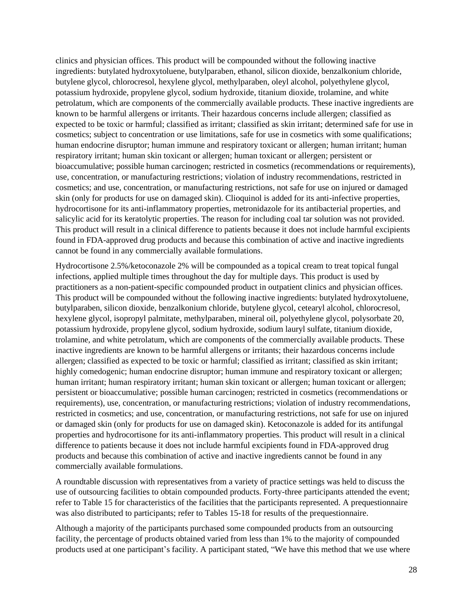clinics and physician offices. This product will be compounded without the following inactive ingredients: butylated hydroxytoluene, butylparaben, ethanol, silicon dioxide, benzalkonium chloride, butylene glycol, chlorocresol, hexylene glycol, methylparaben, oleyl alcohol, polyethylene glycol, potassium hydroxide, propylene glycol, sodium hydroxide, titanium dioxide, trolamine, and white petrolatum, which are components of the commercially available products. These inactive ingredients are known to be harmful allergens or irritants. Their hazardous concerns include allergen; classified as expected to be toxic or harmful; classified as irritant; classified as skin irritant; determined safe for use in cosmetics; subject to concentration or use limitations, safe for use in cosmetics with some qualifications; human endocrine disruptor; human immune and respiratory toxicant or allergen; human irritant; human respiratory irritant; human skin toxicant or allergen; human toxicant or allergen; persistent or bioaccumulative; possible human carcinogen; restricted in cosmetics (recommendations or requirements), use, concentration, or manufacturing restrictions; violation of industry recommendations, restricted in cosmetics; and use, concentration, or manufacturing restrictions, not safe for use on injured or damaged skin (only for products for use on damaged skin). Clioquinol is added for its anti-infective properties, hydrocortisone for its anti-inflammatory properties, metronidazole for its antibacterial properties, and salicylic acid for its keratolytic properties. The reason for including coal tar solution was not provided. This product will result in a clinical difference to patients because it does not include harmful excipients found in FDA-approved drug products and because this combination of active and inactive ingredients cannot be found in any commercially available formulations.

Hydrocortisone 2.5%/ketoconazole 2% will be compounded as a topical cream to treat topical fungal infections, applied multiple times throughout the day for multiple days. This product is used by practitioners as a non-patient-specific compounded product in outpatient clinics and physician offices. This product will be compounded without the following inactive ingredients: butylated hydroxytoluene, butylparaben, silicon dioxide, benzalkonium chloride, butylene glycol, cetearyl alcohol, chlorocresol, hexylene glycol, isopropyl palmitate, methylparaben, mineral oil, polyethylene glycol, polysorbate 20, potassium hydroxide, propylene glycol, sodium hydroxide, sodium lauryl sulfate, titanium dioxide, trolamine, and white petrolatum, which are components of the commercially available products. These inactive ingredients are known to be harmful allergens or irritants; their hazardous concerns include allergen; classified as expected to be toxic or harmful; classified as irritant; classified as skin irritant; highly comedogenic; human endocrine disruptor; human immune and respiratory toxicant or allergen; human irritant; human respiratory irritant; human skin toxicant or allergen; human toxicant or allergen; persistent or bioaccumulative; possible human carcinogen; restricted in cosmetics (recommendations or requirements), use, concentration, or manufacturing restrictions; violation of industry recommendations, restricted in cosmetics; and use, concentration, or manufacturing restrictions, not safe for use on injured or damaged skin (only for products for use on damaged skin). Ketoconazole is added for its antifungal properties and hydrocortisone for its anti-inflammatory properties. This product will result in a clinical difference to patients because it does not include harmful excipients found in FDA-approved drug products and because this combination of active and inactive ingredients cannot be found in any commercially available formulations.

A roundtable discussion with representatives from a variety of practice settings was held to discuss the use of outsourcing facilities to obtain compounded products. Forty-three participants attended the event; refer to Table 15 for characteristics of the facilities that the participants represented. A prequestionnaire was also distributed to participants; refer to Tables 15-18 for results of the prequestionnaire.

Although a majority of the participants purchased some compounded products from an outsourcing facility, the percentage of products obtained varied from less than 1% to the majority of compounded products used at one participant's facility. A participant stated, "We have this method that we use where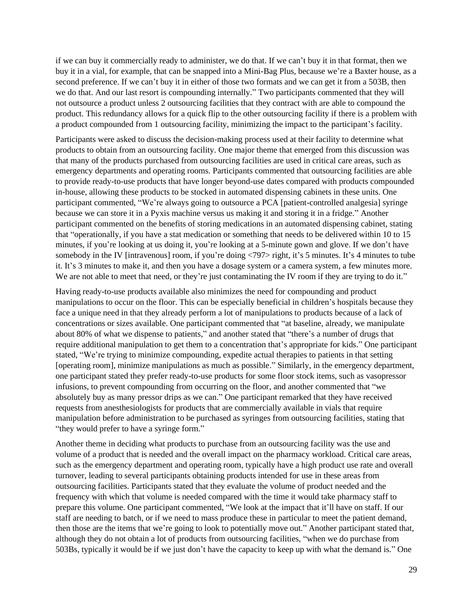if we can buy it commercially ready to administer, we do that. If we can't buy it in that format, then we buy it in a vial, for example, that can be snapped into a Mini-Bag Plus, because we're a Baxter house, as a second preference. If we can't buy it in either of those two formats and we can get it from a 503B, then we do that. And our last resort is compounding internally." Two participants commented that they will not outsource a product unless 2 outsourcing facilities that they contract with are able to compound the product. This redundancy allows for a quick flip to the other outsourcing facility if there is a problem with a product compounded from 1 outsourcing facility, minimizing the impact to the participant's facility.

Participants were asked to discuss the decision-making process used at their facility to determine what products to obtain from an outsourcing facility. One major theme that emerged from this discussion was that many of the products purchased from outsourcing facilities are used in critical care areas, such as emergency departments and operating rooms. Participants commented that outsourcing facilities are able to provide ready-to-use products that have longer beyond-use dates compared with products compounded in-house, allowing these products to be stocked in automated dispensing cabinets in these units. One participant commented, "We're always going to outsource a PCA [patient-controlled analgesia] syringe because we can store it in a Pyxis machine versus us making it and storing it in a fridge." Another participant commented on the benefits of storing medications in an automated dispensing cabinet, stating that "operationally, if you have a stat medication or something that needs to be delivered within 10 to 15 minutes, if you're looking at us doing it, you're looking at a 5-minute gown and glove. If we don't have somebody in the IV [intravenous] room, if you're doing <797> right, it's 5 minutes. It's 4 minutes to tube it. It's 3 minutes to make it, and then you have a dosage system or a camera system, a few minutes more. We are not able to meet that need, or they're just contaminating the IV room if they are trying to do it."

Having ready-to-use products available also minimizes the need for compounding and product manipulations to occur on the floor. This can be especially beneficial in children's hospitals because they face a unique need in that they already perform a lot of manipulations to products because of a lack of concentrations or sizes available. One participant commented that "at baseline, already, we manipulate about 80% of what we dispense to patients," and another stated that "there's a number of drugs that require additional manipulation to get them to a concentration that's appropriate for kids." One participant stated, "We're trying to minimize compounding, expedite actual therapies to patients in that setting [operating room], minimize manipulations as much as possible." Similarly, in the emergency department, one participant stated they prefer ready-to-use products for some floor stock items, such as vasopressor infusions, to prevent compounding from occurring on the floor, and another commented that "we absolutely buy as many pressor drips as we can." One participant remarked that they have received requests from anesthesiologists for products that are commercially available in vials that require manipulation before administration to be purchased as syringes from outsourcing facilities, stating that "they would prefer to have a syringe form."

Another theme in deciding what products to purchase from an outsourcing facility was the use and volume of a product that is needed and the overall impact on the pharmacy workload. Critical care areas, such as the emergency department and operating room, typically have a high product use rate and overall turnover, leading to several participants obtaining products intended for use in these areas from outsourcing facilities. Participants stated that they evaluate the volume of product needed and the frequency with which that volume is needed compared with the time it would take pharmacy staff to prepare this volume. One participant commented, "We look at the impact that it'll have on staff. If our staff are needing to batch, or if we need to mass produce these in particular to meet the patient demand, then those are the items that we're going to look to potentially move out." Another participant stated that, although they do not obtain a lot of products from outsourcing facilities, "when we do purchase from 503Bs, typically it would be if we just don't have the capacity to keep up with what the demand is." One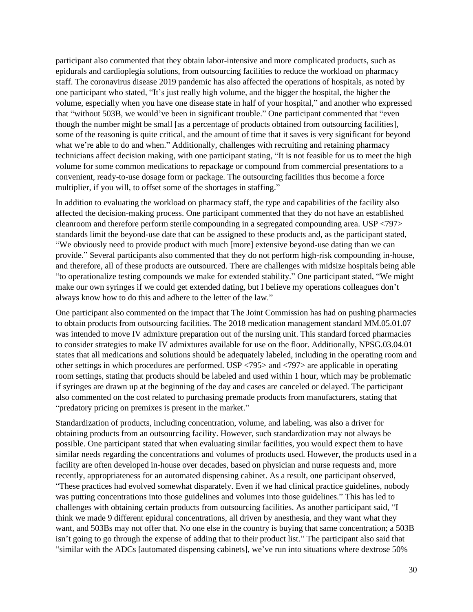participant also commented that they obtain labor-intensive and more complicated products, such as epidurals and cardioplegia solutions, from outsourcing facilities to reduce the workload on pharmacy staff. The coronavirus disease 2019 pandemic has also affected the operations of hospitals, as noted by one participant who stated, "It's just really high volume, and the bigger the hospital, the higher the volume, especially when you have one disease state in half of your hospital," and another who expressed that "without 503B, we would've been in significant trouble." One participant commented that "even though the number might be small [as a percentage of products obtained from outsourcing facilities], some of the reasoning is quite critical, and the amount of time that it saves is very significant for beyond what we're able to do and when." Additionally, challenges with recruiting and retaining pharmacy technicians affect decision making, with one participant stating, "It is not feasible for us to meet the high volume for some common medications to repackage or compound from commercial presentations to a convenient, ready-to-use dosage form or package. The outsourcing facilities thus become a force multiplier, if you will, to offset some of the shortages in staffing."

In addition to evaluating the workload on pharmacy staff, the type and capabilities of the facility also affected the decision-making process. One participant commented that they do not have an established cleanroom and therefore perform sterile compounding in a segregated compounding area. USP <797> standards limit the beyond-use date that can be assigned to these products and, as the participant stated, "We obviously need to provide product with much [more] extensive beyond-use dating than we can provide." Several participants also commented that they do not perform high-risk compounding in-house, and therefore, all of these products are outsourced. There are challenges with midsize hospitals being able "to operationalize testing compounds we make for extended stability." One participant stated, "We might make our own syringes if we could get extended dating, but I believe my operations colleagues don't always know how to do this and adhere to the letter of the law."

One participant also commented on the impact that The Joint Commission has had on pushing pharmacies to obtain products from outsourcing facilities. The 2018 medication management standard MM.05.01.07 was intended to move IV admixture preparation out of the nursing unit. This standard forced pharmacies to consider strategies to make IV admixtures available for use on the floor. Additionally, NPSG.03.04.01 states that all medications and solutions should be adequately labeled, including in the operating room and other settings in which procedures are performed. USP <795> and <797> are applicable in operating room settings, stating that products should be labeled and used within 1 hour, which may be problematic if syringes are drawn up at the beginning of the day and cases are canceled or delayed. The participant also commented on the cost related to purchasing premade products from manufacturers, stating that "predatory pricing on premixes is present in the market."

Standardization of products, including concentration, volume, and labeling, was also a driver for obtaining products from an outsourcing facility. However, such standardization may not always be possible. One participant stated that when evaluating similar facilities, you would expect them to have similar needs regarding the concentrations and volumes of products used. However, the products used in a facility are often developed in-house over decades, based on physician and nurse requests and, more recently, appropriateness for an automated dispensing cabinet. As a result, one participant observed, "These practices had evolved somewhat disparately. Even if we had clinical practice guidelines, nobody was putting concentrations into those guidelines and volumes into those guidelines." This has led to challenges with obtaining certain products from outsourcing facilities. As another participant said, "I think we made 9 different epidural concentrations, all driven by anesthesia, and they want what they want, and 503Bs may not offer that. No one else in the country is buying that same concentration; a 503B isn't going to go through the expense of adding that to their product list." The participant also said that "similar with the ADCs [automated dispensing cabinets], we've run into situations where dextrose 50%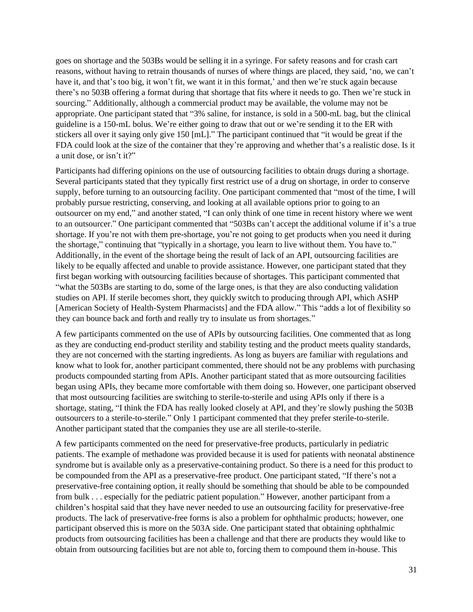goes on shortage and the 503Bs would be selling it in a syringe. For safety reasons and for crash cart reasons, without having to retrain thousands of nurses of where things are placed, they said, 'no, we can't have it, and that's too big, it won't fit, we want it in this format,' and then we're stuck again because there's no 503B offering a format during that shortage that fits where it needs to go. Then we're stuck in sourcing." Additionally, although a commercial product may be available, the volume may not be appropriate. One participant stated that "3% saline, for instance, is sold in a 500-mL bag, but the clinical guideline is a 150-mL bolus. We're either going to draw that out or we're sending it to the ER with stickers all over it saying only give 150 [mL]." The participant continued that "it would be great if the FDA could look at the size of the container that they're approving and whether that's a realistic dose. Is it a unit dose, or isn't it?"

Participants had differing opinions on the use of outsourcing facilities to obtain drugs during a shortage. Several participants stated that they typically first restrict use of a drug on shortage, in order to conserve supply, before turning to an outsourcing facility. One participant commented that "most of the time, I will probably pursue restricting, conserving, and looking at all available options prior to going to an outsourcer on my end," and another stated, "I can only think of one time in recent history where we went to an outsourcer." One participant commented that "503Bs can't accept the additional volume if it's a true shortage. If you're not with them pre-shortage, you're not going to get products when you need it during the shortage," continuing that "typically in a shortage, you learn to live without them. You have to." Additionally, in the event of the shortage being the result of lack of an API, outsourcing facilities are likely to be equally affected and unable to provide assistance. However, one participant stated that they first began working with outsourcing facilities because of shortages. This participant commented that "what the 503Bs are starting to do, some of the large ones, is that they are also conducting validation studies on API. If sterile becomes short, they quickly switch to producing through API, which ASHP [American Society of Health-System Pharmacists] and the FDA allow." This "adds a lot of flexibility so they can bounce back and forth and really try to insulate us from shortages."

A few participants commented on the use of APIs by outsourcing facilities. One commented that as long as they are conducting end-product sterility and stability testing and the product meets quality standards, they are not concerned with the starting ingredients. As long as buyers are familiar with regulations and know what to look for, another participant commented, there should not be any problems with purchasing products compounded starting from APIs. Another participant stated that as more outsourcing facilities began using APIs, they became more comfortable with them doing so. However, one participant observed that most outsourcing facilities are switching to sterile-to-sterile and using APIs only if there is a shortage, stating, "I think the FDA has really looked closely at API, and they're slowly pushing the 503B outsourcers to a sterile-to-sterile." Only 1 participant commented that they prefer sterile-to-sterile. Another participant stated that the companies they use are all sterile-to-sterile.

A few participants commented on the need for preservative-free products, particularly in pediatric patients. The example of methadone was provided because it is used for patients with neonatal abstinence syndrome but is available only as a preservative-containing product. So there is a need for this product to be compounded from the API as a preservative-free product. One participant stated, "If there's not a preservative-free containing option, it really should be something that should be able to be compounded from bulk . . . especially for the pediatric patient population." However, another participant from a children's hospital said that they have never needed to use an outsourcing facility for preservative-free products. The lack of preservative-free forms is also a problem for ophthalmic products; however, one participant observed this is more on the 503A side. One participant stated that obtaining ophthalmic products from outsourcing facilities has been a challenge and that there are products they would like to obtain from outsourcing facilities but are not able to, forcing them to compound them in-house. This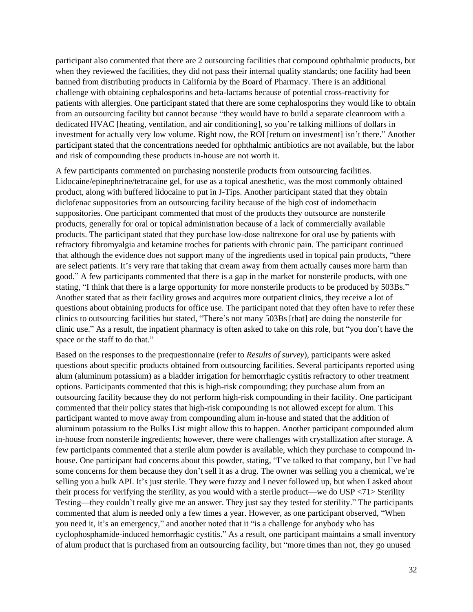participant also commented that there are 2 outsourcing facilities that compound ophthalmic products, but when they reviewed the facilities, they did not pass their internal quality standards; one facility had been banned from distributing products in California by the Board of Pharmacy. There is an additional challenge with obtaining cephalosporins and beta-lactams because of potential cross-reactivity for patients with allergies. One participant stated that there are some cephalosporins they would like to obtain from an outsourcing facility but cannot because "they would have to build a separate cleanroom with a dedicated HVAC [heating, ventilation, and air conditioning], so you're talking millions of dollars in investment for actually very low volume. Right now, the ROI [return on investment] isn't there." Another participant stated that the concentrations needed for ophthalmic antibiotics are not available, but the labor and risk of compounding these products in-house are not worth it.

A few participants commented on purchasing nonsterile products from outsourcing facilities. Lidocaine/epinephrine/tetracaine gel, for use as a topical anesthetic, was the most commonly obtained product, along with buffered lidocaine to put in J-Tips. Another participant stated that they obtain diclofenac suppositories from an outsourcing facility because of the high cost of indomethacin suppositories. One participant commented that most of the products they outsource are nonsterile products, generally for oral or topical administration because of a lack of commercially available products. The participant stated that they purchase low-dose naltrexone for oral use by patients with refractory fibromyalgia and ketamine troches for patients with chronic pain. The participant continued that although the evidence does not support many of the ingredients used in topical pain products, "there are select patients. It's very rare that taking that cream away from them actually causes more harm than good." A few participants commented that there is a gap in the market for nonsterile products, with one stating, "I think that there is a large opportunity for more nonsterile products to be produced by 503Bs." Another stated that as their facility grows and acquires more outpatient clinics, they receive a lot of questions about obtaining products for office use. The participant noted that they often have to refer these clinics to outsourcing facilities but stated, "There's not many 503Bs [that] are doing the nonsterile for clinic use." As a result, the inpatient pharmacy is often asked to take on this role, but "you don't have the space or the staff to do that."

Based on the responses to the prequestionnaire (refer to *Results of survey*), participants were asked questions about specific products obtained from outsourcing facilities. Several participants reported using alum (aluminum potassium) as a bladder irrigation for hemorrhagic cystitis refractory to other treatment options. Participants commented that this is high-risk compounding; they purchase alum from an outsourcing facility because they do not perform high-risk compounding in their facility. One participant commented that their policy states that high-risk compounding is not allowed except for alum. This participant wanted to move away from compounding alum in-house and stated that the addition of aluminum potassium to the Bulks List might allow this to happen. Another participant compounded alum in-house from nonsterile ingredients; however, there were challenges with crystallization after storage. A few participants commented that a sterile alum powder is available, which they purchase to compound inhouse. One participant had concerns about this powder, stating, "I've talked to that company, but I've had some concerns for them because they don't sell it as a drug. The owner was selling you a chemical, we're selling you a bulk API. It's just sterile. They were fuzzy and I never followed up, but when I asked about their process for verifying the sterility, as you would with a sterile product—we do USP <71> Sterility Testing—they couldn't really give me an answer. They just say they tested for sterility." The participants commented that alum is needed only a few times a year. However, as one participant observed, "When you need it, it's an emergency," and another noted that it "is a challenge for anybody who has cyclophosphamide-induced hemorrhagic cystitis." As a result, one participant maintains a small inventory of alum product that is purchased from an outsourcing facility, but "more times than not, they go unused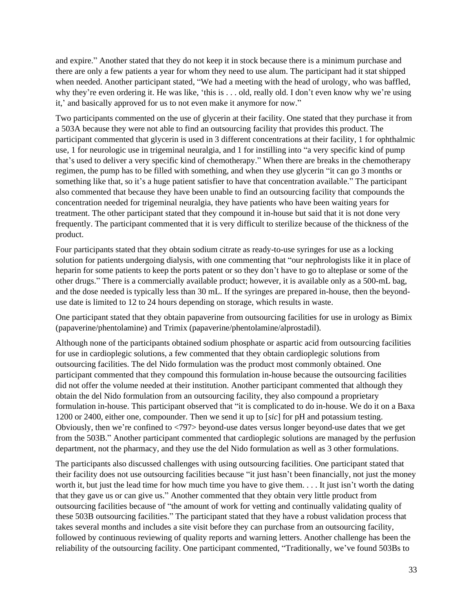and expire." Another stated that they do not keep it in stock because there is a minimum purchase and there are only a few patients a year for whom they need to use alum. The participant had it stat shipped when needed. Another participant stated, "We had a meeting with the head of urology, who was baffled, why they're even ordering it. He was like, 'this is . . . old, really old. I don't even know why we're using it,' and basically approved for us to not even make it anymore for now."

Two participants commented on the use of glycerin at their facility. One stated that they purchase it from a 503A because they were not able to find an outsourcing facility that provides this product. The participant commented that glycerin is used in 3 different concentrations at their facility, 1 for ophthalmic use, 1 for neurologic use in trigeminal neuralgia, and 1 for instilling into "a very specific kind of pump that's used to deliver a very specific kind of chemotherapy." When there are breaks in the chemotherapy regimen, the pump has to be filled with something, and when they use glycerin "it can go 3 months or something like that, so it's a huge patient satisfier to have that concentration available." The participant also commented that because they have been unable to find an outsourcing facility that compounds the concentration needed for trigeminal neuralgia, they have patients who have been waiting years for treatment. The other participant stated that they compound it in-house but said that it is not done very frequently. The participant commented that it is very difficult to sterilize because of the thickness of the product.

Four participants stated that they obtain sodium citrate as ready-to-use syringes for use as a locking solution for patients undergoing dialysis, with one commenting that "our nephrologists like it in place of heparin for some patients to keep the ports patent or so they don't have to go to alteplase or some of the other drugs." There is a commercially available product; however, it is available only as a 500-mL bag, and the dose needed is typically less than 30 mL. If the syringes are prepared in-house, then the beyonduse date is limited to 12 to 24 hours depending on storage, which results in waste.

One participant stated that they obtain papaverine from outsourcing facilities for use in urology as Bimix (papaverine/phentolamine) and Trimix (papaverine/phentolamine/alprostadil).

Although none of the participants obtained sodium phosphate or aspartic acid from outsourcing facilities for use in cardioplegic solutions, a few commented that they obtain cardioplegic solutions from outsourcing facilities. The del Nido formulation was the product most commonly obtained. One participant commented that they compound this formulation in-house because the outsourcing facilities did not offer the volume needed at their institution. Another participant commented that although they obtain the del Nido formulation from an outsourcing facility, they also compound a proprietary formulation in-house. This participant observed that "it is complicated to do in-house. We do it on a Baxa 1200 or 2400, either one, compounder. Then we send it up to [*sic*] for pH and potassium testing. Obviously, then we're confined to <797> beyond-use dates versus longer beyond-use dates that we get from the 503B." Another participant commented that cardioplegic solutions are managed by the perfusion department, not the pharmacy, and they use the del Nido formulation as well as 3 other formulations.

The participants also discussed challenges with using outsourcing facilities. One participant stated that their facility does not use outsourcing facilities because "it just hasn't been financially, not just the money worth it, but just the lead time for how much time you have to give them. . . . It just isn't worth the dating that they gave us or can give us." Another commented that they obtain very little product from outsourcing facilities because of "the amount of work for vetting and continually validating quality of these 503B outsourcing facilities." The participant stated that they have a robust validation process that takes several months and includes a site visit before they can purchase from an outsourcing facility, followed by continuous reviewing of quality reports and warning letters. Another challenge has been the reliability of the outsourcing facility. One participant commented, "Traditionally, we've found 503Bs to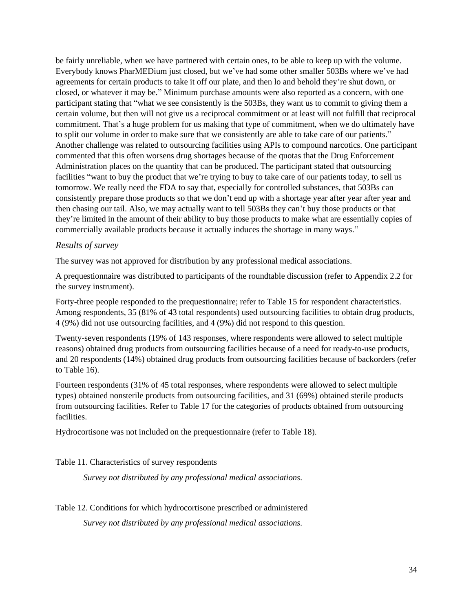be fairly unreliable, when we have partnered with certain ones, to be able to keep up with the volume. Everybody knows PharMEDium just closed, but we've had some other smaller 503Bs where we've had agreements for certain products to take it off our plate, and then lo and behold they're shut down, or closed, or whatever it may be." Minimum purchase amounts were also reported as a concern, with one participant stating that "what we see consistently is the 503Bs, they want us to commit to giving them a certain volume, but then will not give us a reciprocal commitment or at least will not fulfill that reciprocal commitment. That's a huge problem for us making that type of commitment, when we do ultimately have to split our volume in order to make sure that we consistently are able to take care of our patients." Another challenge was related to outsourcing facilities using APIs to compound narcotics. One participant commented that this often worsens drug shortages because of the quotas that the Drug Enforcement Administration places on the quantity that can be produced. The participant stated that outsourcing facilities "want to buy the product that we're trying to buy to take care of our patients today, to sell us tomorrow. We really need the FDA to say that, especially for controlled substances, that 503Bs can consistently prepare those products so that we don't end up with a shortage year after year after year and then chasing our tail. Also, we may actually want to tell 503Bs they can't buy those products or that they're limited in the amount of their ability to buy those products to make what are essentially copies of commercially available products because it actually induces the shortage in many ways."

#### <span id="page-33-0"></span>*Results of survey*

The survey was not approved for distribution by any professional medical associations.

A prequestionnaire was distributed to participants of the roundtable discussion (refer to Appendix 2.2 for the survey instrument).

Forty-three people responded to the prequestionnaire; refer to Table 15 for respondent characteristics. Among respondents, 35 (81% of 43 total respondents) used outsourcing facilities to obtain drug products, 4 (9%) did not use outsourcing facilities, and 4 (9%) did not respond to this question.

Twenty-seven respondents (19% of 143 responses, where respondents were allowed to select multiple reasons) obtained drug products from outsourcing facilities because of a need for ready-to-use products, and 20 respondents (14%) obtained drug products from outsourcing facilities because of backorders (refer to Table 16).

Fourteen respondents (31% of 45 total responses, where respondents were allowed to select multiple types) obtained nonsterile products from outsourcing facilities, and 31 (69%) obtained sterile products from outsourcing facilities. Refer to Table 17 for the categories of products obtained from outsourcing facilities.

Hydrocortisone was not included on the prequestionnaire (refer to Table 18).

<span id="page-33-1"></span>Table 11. Characteristics of survey respondents

*Survey not distributed by any professional medical associations.*

#### <span id="page-33-2"></span>Table 12. Conditions for which hydrocortisone prescribed or administered

*Survey not distributed by any professional medical associations.*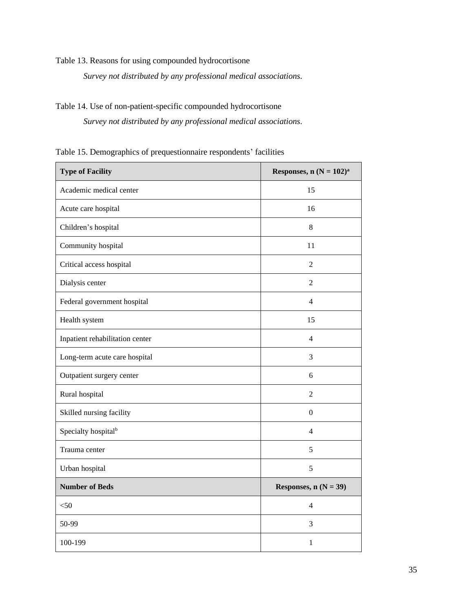<span id="page-34-0"></span>Table 13. Reasons for using compounded hydrocortisone

*Survey not distributed by any professional medical associations.*

## <span id="page-34-1"></span>Table 14. Use of non-patient-specific compounded hydrocortisone

*Survey not distributed by any professional medical associations.*

<span id="page-34-2"></span>Table 15. Demographics of prequestionnaire respondents' facilities

| <b>Type of Facility</b>         | Responses, $n (N = 102)^a$ |  |
|---------------------------------|----------------------------|--|
| Academic medical center         | 15                         |  |
| Acute care hospital             | 16                         |  |
| Children's hospital             | $\,8\,$                    |  |
| Community hospital              | 11                         |  |
| Critical access hospital        | $\overline{2}$             |  |
| Dialysis center                 | $\overline{2}$             |  |
| Federal government hospital     | $\overline{4}$             |  |
| Health system                   | 15                         |  |
| Inpatient rehabilitation center | $\overline{4}$             |  |
| Long-term acute care hospital   | 3                          |  |
| Outpatient surgery center       | 6                          |  |
| Rural hospital                  | $\overline{2}$             |  |
| Skilled nursing facility        | $\boldsymbol{0}$           |  |
| Specialty hospital <sup>b</sup> | $\overline{4}$             |  |
| Trauma center                   | 5                          |  |
| Urban hospital                  | 5                          |  |
| <b>Number of Beds</b>           | Responses, $n (N = 39)$    |  |
| $<$ 50                          | $\overline{4}$             |  |
| 50-99                           | 3                          |  |
| 100-199                         | $\mathbf{1}$               |  |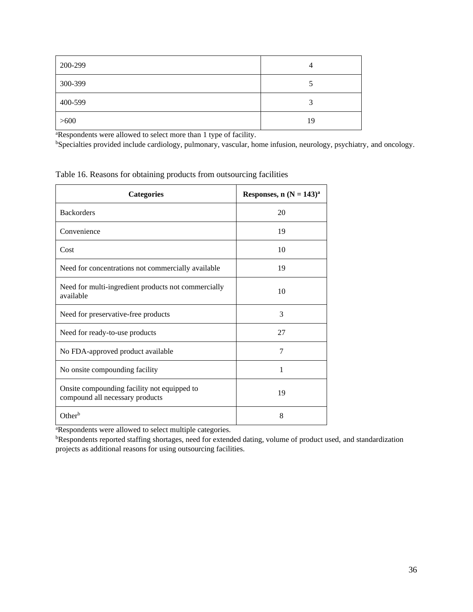| 200-299 | 4  |
|---------|----|
| 300-399 |    |
| 400-599 | ◠  |
| >600    | 19 |

<sup>a</sup>Respondents were allowed to select more than 1 type of facility.

<sup>b</sup>Specialties provided include cardiology, pulmonary, vascular, home infusion, neurology, psychiatry, and oncology.

| <b>Categories</b>                                                              | Responses, $n (N = 143)^a$ |
|--------------------------------------------------------------------------------|----------------------------|
| <b>Backorders</b>                                                              | 20                         |
| Convenience                                                                    | 19                         |
| Cost                                                                           | 10                         |
| Need for concentrations not commercially available                             | 19                         |
| Need for multi-ingredient products not commercially<br>available               | 10                         |
| Need for preservative-free products                                            | 3                          |
| Need for ready-to-use products                                                 | 27                         |
| No FDA-approved product available                                              | 7                          |
| No onsite compounding facility                                                 | 1                          |
| Onsite compounding facility not equipped to<br>compound all necessary products | 19                         |
| Other <sup>b</sup>                                                             | 8                          |

<span id="page-35-0"></span>Table 16. Reasons for obtaining products from outsourcing facilities

<sup>a</sup>Respondents were allowed to select multiple categories.

<sup>b</sup>Respondents reported staffing shortages, need for extended dating, volume of product used, and standardization projects as additional reasons for using outsourcing facilities.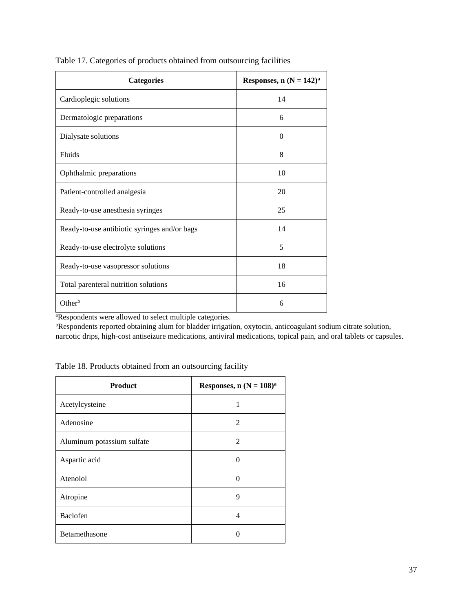| <b>Categories</b>                            | Responses, $n (N = 142)^a$ |
|----------------------------------------------|----------------------------|
| Cardioplegic solutions                       | 14                         |
| Dermatologic preparations                    | 6                          |
| Dialysate solutions                          | $\Omega$                   |
| Fluids                                       | 8                          |
| Ophthalmic preparations                      | 10                         |
| Patient-controlled analgesia                 | 20                         |
| Ready-to-use anesthesia syringes             | 25                         |
| Ready-to-use antibiotic syringes and/or bags | 14                         |
| Ready-to-use electrolyte solutions           | 5                          |
| Ready-to-use vasopressor solutions           | 18                         |
| Total parenteral nutrition solutions         | 16                         |
| $Other^b$                                    | 6                          |

<span id="page-36-0"></span>Table 17. Categories of products obtained from outsourcing facilities

<sup>a</sup>Respondents were allowed to select multiple categories.

<sup>b</sup>Respondents reported obtaining alum for bladder irrigation, oxytocin, anticoagulant sodium citrate solution, narcotic drips, high-cost antiseizure medications, antiviral medications, topical pain, and oral tablets or capsules.

<span id="page-36-1"></span>Table 18. Products obtained from an outsourcing facility

| <b>Product</b>             | Responses, $n (N = 108)^a$ |
|----------------------------|----------------------------|
| Acetylcysteine             | 1                          |
| Adenosine                  | $\overline{2}$             |
| Aluminum potassium sulfate | 2                          |
| Aspartic acid              | $\mathcal{O}$              |
| Atenolol                   | $\mathcal{O}$              |
| Atropine                   | 9                          |
| Baclofen                   | 4                          |
| Betamethasone              |                            |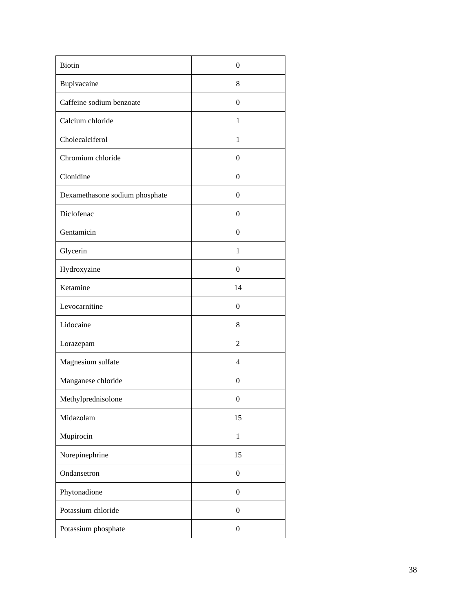| <b>Biotin</b>                  | $\boldsymbol{0}$ |
|--------------------------------|------------------|
| Bupivacaine                    | 8                |
| Caffeine sodium benzoate       | $\boldsymbol{0}$ |
| Calcium chloride               | $\mathbf{1}$     |
| Cholecalciferol                | $\mathbf{1}$     |
| Chromium chloride              | $\boldsymbol{0}$ |
| Clonidine                      | $\boldsymbol{0}$ |
| Dexamethasone sodium phosphate | $\boldsymbol{0}$ |
| Diclofenac                     | $\boldsymbol{0}$ |
| Gentamicin                     | $\boldsymbol{0}$ |
| Glycerin                       | $\mathbf{1}$     |
| Hydroxyzine                    | $\boldsymbol{0}$ |
| Ketamine                       | 14               |
| Levocarnitine                  | $\boldsymbol{0}$ |
| Lidocaine                      | 8                |
| Lorazepam                      | $\mathfrak{2}$   |
| Magnesium sulfate              | $\overline{4}$   |
| Manganese chloride             | $\boldsymbol{0}$ |
| Methylprednisolone             | $\boldsymbol{0}$ |
| Midazolam                      | 15               |
| Mupirocin                      | $\mathbf{1}$     |
| Norepinephrine                 | 15               |
| Ondansetron                    | $\boldsymbol{0}$ |
| Phytonadione                   | $\boldsymbol{0}$ |
| Potassium chloride             | $\boldsymbol{0}$ |
| Potassium phosphate            | $\boldsymbol{0}$ |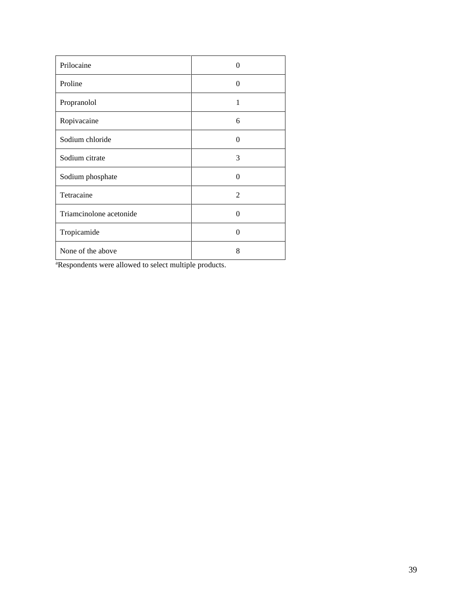| Prilocaine              | $\Omega$ |
|-------------------------|----------|
| Proline                 | $\Omega$ |
| Propranolol             | 1        |
| Ropivacaine             | 6        |
| Sodium chloride         | $\Omega$ |
| Sodium citrate          | 3        |
| Sodium phosphate        | $\theta$ |
| Tetracaine              | 2        |
| Triamcinolone acetonide | $\Omega$ |
| Tropicamide             | $\Omega$ |
| None of the above       | 8        |

aRespondents were allowed to select multiple products.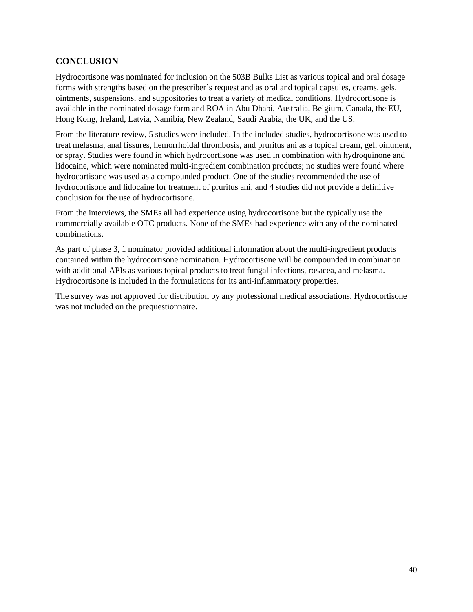#### <span id="page-39-0"></span>**CONCLUSION**

Hydrocortisone was nominated for inclusion on the 503B Bulks List as various topical and oral dosage forms with strengths based on the prescriber's request and as oral and topical capsules, creams, gels, ointments, suspensions, and suppositories to treat a variety of medical conditions. Hydrocortisone is available in the nominated dosage form and ROA in Abu Dhabi, Australia, Belgium, Canada, the EU, Hong Kong, Ireland, Latvia, Namibia, New Zealand, Saudi Arabia, the UK, and the US.

From the literature review, 5 studies were included. In the included studies, hydrocortisone was used to treat melasma, anal fissures, hemorrhoidal thrombosis, and pruritus ani as a topical cream, gel, ointment, or spray. Studies were found in which hydrocortisone was used in combination with hydroquinone and lidocaine, which were nominated multi-ingredient combination products; no studies were found where hydrocortisone was used as a compounded product. One of the studies recommended the use of hydrocortisone and lidocaine for treatment of pruritus ani, and 4 studies did not provide a definitive conclusion for the use of hydrocortisone.

From the interviews, the SMEs all had experience using hydrocortisone but the typically use the commercially available OTC products. None of the SMEs had experience with any of the nominated combinations.

As part of phase 3, 1 nominator provided additional information about the multi-ingredient products contained within the hydrocortisone nomination. Hydrocortisone will be compounded in combination with additional APIs as various topical products to treat fungal infections, rosacea, and melasma. Hydrocortisone is included in the formulations for its anti-inflammatory properties.

The survey was not approved for distribution by any professional medical associations. Hydrocortisone was not included on the prequestionnaire.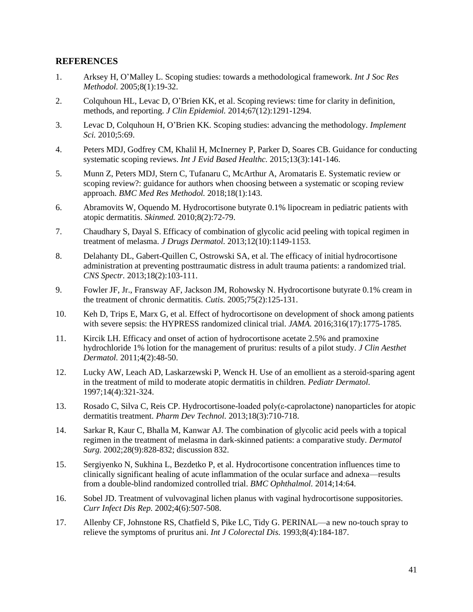#### <span id="page-40-0"></span>**REFERENCES**

- 1. Arksey H, O'Malley L. Scoping studies: towards a methodological framework. *Int J Soc Res Methodol.* 2005;8(1):19-32.
- 2. Colquhoun HL, Levac D, O'Brien KK, et al. Scoping reviews: time for clarity in definition, methods, and reporting. *J Clin Epidemiol.* 2014;67(12):1291-1294.
- 3. Levac D, Colquhoun H, O'Brien KK. Scoping studies: advancing the methodology. *Implement Sci.* 2010;5:69.
- 4. Peters MDJ, Godfrey CM, Khalil H, McInerney P, Parker D, Soares CB. Guidance for conducting systematic scoping reviews. *Int J Evid Based Healthc.* 2015;13(3):141-146.
- 5. Munn Z, Peters MDJ, Stern C, Tufanaru C, McArthur A, Aromataris E. Systematic review or scoping review?: guidance for authors when choosing between a systematic or scoping review approach. *BMC Med Res Methodol.* 2018;18(1):143.
- 6. Abramovits W, Oquendo M. Hydrocortisone butyrate 0.1% lipocream in pediatric patients with atopic dermatitis. *Skinmed.* 2010;8(2):72-79.
- 7. Chaudhary S, Dayal S. Efficacy of combination of glycolic acid peeling with topical regimen in treatment of melasma. *J Drugs Dermatol.* 2013;12(10):1149-1153.
- 8. Delahanty DL, Gabert-Quillen C, Ostrowski SA, et al. The efficacy of initial hydrocortisone administration at preventing posttraumatic distress in adult trauma patients: a randomized trial. *CNS Spectr.* 2013;18(2):103-111.
- 9. Fowler JF, Jr., Fransway AF, Jackson JM, Rohowsky N. Hydrocortisone butyrate 0.1% cream in the treatment of chronic dermatitis. *Cutis.* 2005;75(2):125-131.
- 10. Keh D, Trips E, Marx G, et al. Effect of hydrocortisone on development of shock among patients with severe sepsis: the HYPRESS randomized clinical trial. *JAMA.* 2016;316(17):1775-1785.
- 11. Kircik LH. Efficacy and onset of action of hydrocortisone acetate 2.5% and pramoxine hydrochloride 1% lotion for the management of pruritus: results of a pilot study. *J Clin Aesthet Dermatol.* 2011;4(2):48-50.
- 12. Lucky AW, Leach AD, Laskarzewski P, Wenck H. Use of an emollient as a steroid-sparing agent in the treatment of mild to moderate atopic dermatitis in children. *Pediatr Dermatol.*  1997;14(4):321-324.
- 13. Rosado C, Silva C, Reis CP. Hydrocortisone-loaded poly(ε-caprolactone) nanoparticles for atopic dermatitis treatment. *Pharm Dev Technol.* 2013;18(3):710-718.
- 14. Sarkar R, Kaur C, Bhalla M, Kanwar AJ. The combination of glycolic acid peels with a topical regimen in the treatment of melasma in dark-skinned patients: a comparative study. *Dermatol Surg.* 2002;28(9):828-832; discussion 832.
- 15. Sergiyenko N, Sukhina L, Bezdetko P, et al. Hydrocortisone concentration influences time to clinically significant healing of acute inflammation of the ocular surface and adnexa—results from a double-blind randomized controlled trial. *BMC Ophthalmol.* 2014;14:64.
- 16. Sobel JD. Treatment of vulvovaginal lichen planus with vaginal hydrocortisone suppositories. *Curr Infect Dis Rep.* 2002;4(6):507-508.
- 17. Allenby CF, Johnstone RS, Chatfield S, Pike LC, Tidy G. PERINAL—a new no-touch spray to relieve the symptoms of pruritus ani. *Int J Colorectal Dis.* 1993;8(4):184-187.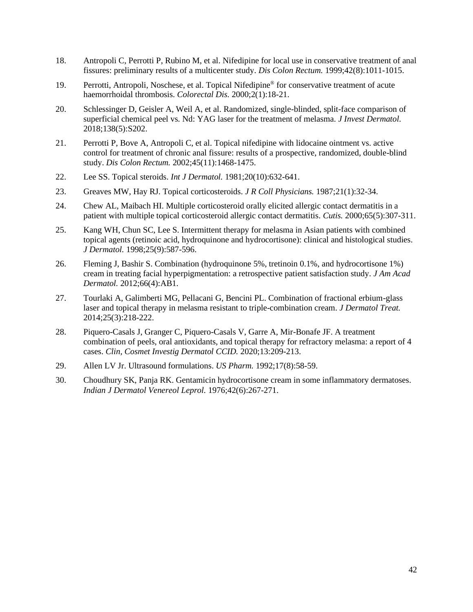- 18. Antropoli C, Perrotti P, Rubino M, et al. Nifedipine for local use in conservative treatment of anal fissures: preliminary results of a multicenter study. *Dis Colon Rectum.* 1999;42(8):1011-1015.
- 19. Perrotti, Antropoli, Noschese, et al. Topical Nifedipine® for conservative treatment of acute haemorrhoidal thrombosis. *Colorectal Dis.* 2000;2(1):18-21.
- 20. Schlessinger D, Geisler A, Weil A, et al. Randomized, single-blinded, split-face comparison of superficial chemical peel vs. Nd: YAG laser for the treatment of melasma. *J Invest Dermatol.*  2018;138(5):S202.
- 21. Perrotti P, Bove A, Antropoli C, et al. Topical nifedipine with lidocaine ointment vs. active control for treatment of chronic anal fissure: results of a prospective, randomized, double-blind study. *Dis Colon Rectum.* 2002;45(11):1468-1475.
- 22. Lee SS. Topical steroids. *Int J Dermatol.* 1981;20(10):632-641.
- 23. Greaves MW, Hay RJ. Topical corticosteroids. *J R Coll Physicians.* 1987;21(1):32-34.
- 24. Chew AL, Maibach HI. Multiple corticosteroid orally elicited allergic contact dermatitis in a patient with multiple topical corticosteroid allergic contact dermatitis. *Cutis.* 2000;65(5):307-311.
- 25. Kang WH, Chun SC, Lee S. Intermittent therapy for melasma in Asian patients with combined topical agents (retinoic acid, hydroquinone and hydrocortisone): clinical and histological studies. *J Dermatol.* 1998;25(9):587-596.
- 26. Fleming J, Bashir S. Combination (hydroquinone 5%, tretinoin 0.1%, and hydrocortisone 1%) cream in treating facial hyperpigmentation: a retrospective patient satisfaction study. *J Am Acad Dermatol.* 2012;66(4):AB1.
- 27. Tourlaki A, Galimberti MG, Pellacani G, Bencini PL. Combination of fractional erbium-glass laser and topical therapy in melasma resistant to triple-combination cream. *J Dermatol Treat.*  2014;25(3):218-222.
- 28. Piquero-Casals J, Granger C, Piquero-Casals V, Garre A, Mir-Bonafe JF. A treatment combination of peels, oral antioxidants, and topical therapy for refractory melasma: a report of 4 cases. *Clin, Cosmet Investig Dermatol CCID.* 2020;13:209-213.
- 29. Allen LV Jr. Ultrasound formulations. *US Pharm.* 1992;17(8):58-59.
- 30. Choudhury SK, Panja RK. Gentamicin hydrocortisone cream in some inflammatory dermatoses. *Indian J Dermatol Venereol Leprol.* 1976;42(6):267-271.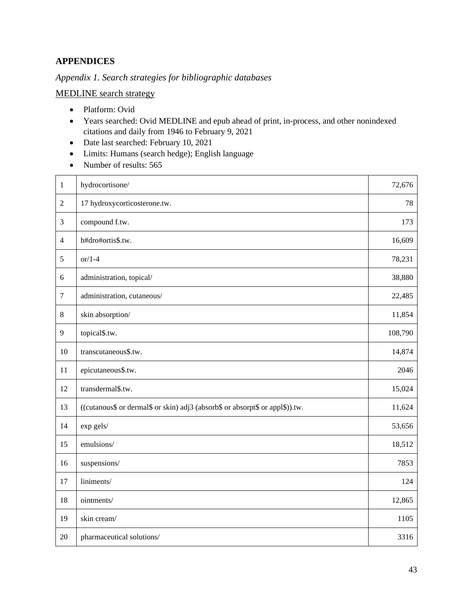## <span id="page-42-0"></span>**APPENDICES**

<span id="page-42-1"></span>*Appendix 1. Search strategies for bibliographic databases*

MEDLINE search strategy

- Platform: Ovid
- Years searched: Ovid MEDLINE and epub ahead of print, in-process, and other nonindexed citations and daily from 1946 to February 9, 2021
- Date last searched: February 10, 2021
- Limits: Humans (search hedge); English language
- Number of results: 565

| $\mathbf{1}$     | hydrocortisone/                                                               | 72,676  |
|------------------|-------------------------------------------------------------------------------|---------|
| $\overline{2}$   | 17 hydroxycorticosterone.tw.                                                  | 78      |
| $\mathfrak{Z}$   | compound f.tw.                                                                | 173     |
| $\overline{4}$   | h#dro#ortis\$.tw.                                                             | 16,609  |
| 5                | $or/1-4$                                                                      | 78,231  |
| 6                | administration, topical/                                                      | 38,880  |
| $\boldsymbol{7}$ | administration, cutaneous/                                                    | 22,485  |
| $\,8\,$          | skin absorption/                                                              | 11,854  |
| 9                | topical\$.tw.                                                                 | 108,790 |
| 10               | transcutaneous\$.tw.                                                          | 14,874  |
| 11               | epicutaneous\$.tw.                                                            | 2046    |
| 12               | transdermal\$.tw.                                                             | 15,024  |
| 13               | ((cutanous\$ or dermal\$ or skin) adj3 (absorb\$ or absorpt\$ or appl\$)).tw. | 11,624  |
| 14               | exp gels/                                                                     | 53,656  |
| 15               | emulsions/                                                                    | 18,512  |
| 16               | suspensions/                                                                  | 7853    |
| 17               | liniments/                                                                    | 124     |
| 18               | ointments/                                                                    | 12,865  |
| 19               | skin cream/                                                                   | 1105    |
| 20               | pharmaceutical solutions/                                                     | 3316    |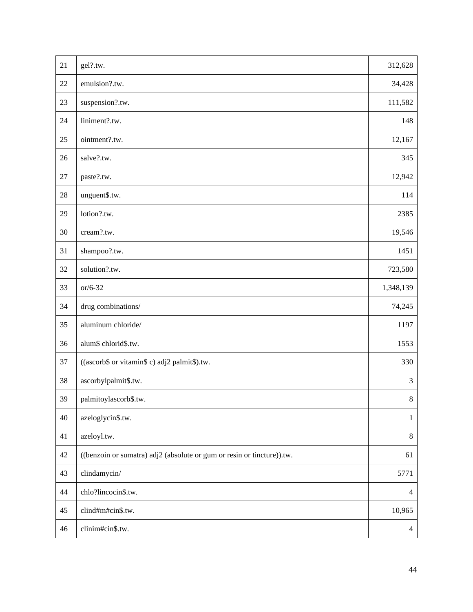| 21     | gel?.tw.                                                               | 312,628                  |
|--------|------------------------------------------------------------------------|--------------------------|
| 22     | emulsion?.tw.                                                          | 34,428                   |
| 23     | suspension?.tw.                                                        | 111,582                  |
| 24     | liniment?.tw.                                                          | 148                      |
| 25     | ointment?.tw.                                                          | 12,167                   |
| 26     | salve?.tw.                                                             | 345                      |
| $27\,$ | paste?.tw.                                                             | 12,942                   |
| 28     | unguent\$.tw.                                                          | 114                      |
| 29     | lotion?.tw.                                                            | 2385                     |
| 30     | cream?.tw.                                                             | 19,546                   |
| 31     | shampoo?.tw.                                                           | 1451                     |
| 32     | solution?.tw.                                                          | 723,580                  |
| 33     | $or/6-32$                                                              | 1,348,139                |
| 34     | drug combinations/                                                     | 74,245                   |
| 35     | aluminum chloride/                                                     | 1197                     |
| 36     | alum\$ chlorid\$.tw.                                                   | 1553                     |
| 37     | ((ascorb\$ or vitamin\$ c) adj2 palmit\$).tw.                          | 330                      |
| 38     | ascorbylpalmit\$.tw.                                                   | $\mathfrak{Z}$           |
| 39     | palmitoylascorb\$.tw.                                                  | $8\,$                    |
| 40     | azeloglycin\$.tw.                                                      | $\mathbf{1}$             |
| 41     | azeloyl.tw.                                                            | 8                        |
| 42     | ((benzoin or sumatra) adj2 (absolute or gum or resin or tincture)).tw. | 61                       |
| 43     | clindamycin/                                                           | 5771                     |
| 44     | chlo?lincocin\$.tw.                                                    | $\overline{\mathcal{A}}$ |
| 45     | clind#m#cin\$.tw.                                                      | 10,965                   |
| 46     | clinim#cin\$.tw.                                                       | $\overline{4}$           |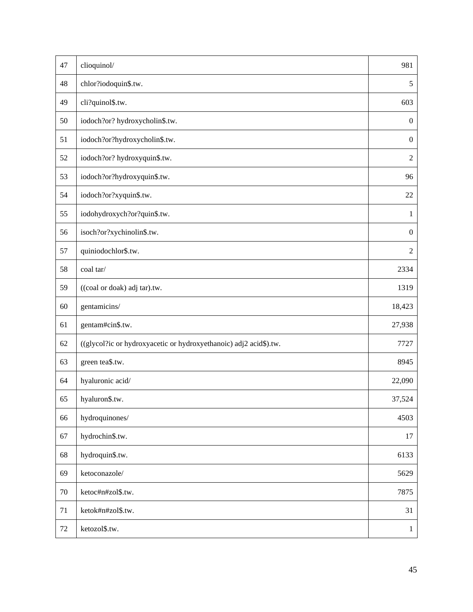| 47     | clioquinol/                                                       | 981              |
|--------|-------------------------------------------------------------------|------------------|
| 48     | chlor?iodoquin\$.tw.                                              | 5                |
| 49     | cli?quinol\$.tw.                                                  | 603              |
| 50     | iodoch?or? hydroxycholin\$.tw.                                    | $\boldsymbol{0}$ |
| 51     | iodoch?or?hydroxycholin\$.tw.                                     | $\boldsymbol{0}$ |
| 52     | iodoch?or? hydroxyquin\$.tw.                                      | $\overline{2}$   |
| 53     | iodoch?or?hydroxyquin\$.tw.                                       | 96               |
| 54     | iodoch?or?xyquin\$.tw.                                            | $22\,$           |
| 55     | iodohydroxych?or?quin\$.tw.                                       | $\mathbf{1}$     |
| 56     | isoch?or?xychinolin\$.tw.                                         | $\boldsymbol{0}$ |
| 57     | quiniodochlor\$.tw.                                               | $\overline{2}$   |
| 58     | coal tar/                                                         | 2334             |
| 59     | ((coal or doak) adj tar).tw.                                      | 1319             |
| 60     | gentamicins/                                                      | 18,423           |
| 61     | gentam#cin\$.tw.                                                  | 27,938           |
| 62     | ((glycol?ic or hydroxyacetic or hydroxyethanoic) adj2 acid\$).tw. | 7727             |
| 63     | green tea\$.tw.                                                   | 8945             |
| 64     | hyaluronic acid/                                                  | 22,090           |
| 65     | hyaluron\$.tw.                                                    | 37,524           |
| 66     | hydroquinones/                                                    | 4503             |
| 67     | hydrochin\$.tw.                                                   | 17               |
| 68     | hydroquin\$.tw.                                                   | 6133             |
| 69     | ketoconazole/                                                     | 5629             |
| 70     | ketoc#n#zol\$.tw.                                                 | 7875             |
| 71     | ketok#n#zol\$.tw.                                                 | 31               |
| $72\,$ | ketozol\$.tw.                                                     | $\mathbf{1}$     |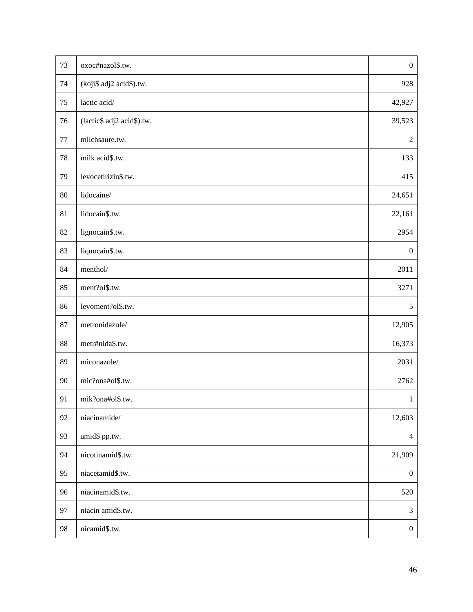| 73     | oxoc#nazol\$.tw.           | $\boldsymbol{0}$ |
|--------|----------------------------|------------------|
| 74     | (koji\$ adj2 acid\$).tw.   | 928              |
| 75     | lactic acid/               | 42,927           |
| 76     | (lactic\$ adj2 acid\$).tw. | 39,523           |
| $77\,$ | milchsaure.tw.             | $\boldsymbol{2}$ |
| 78     | milk acid\$.tw.            | 133              |
| 79     | levocetirizin\$.tw.        | 415              |
| 80     | lidocaine/                 | 24,651           |
| 81     | lidocain\$.tw.             | 22,161           |
| 82     | lignocain\$.tw.            | 2954             |
| 83     | liquocain\$.tw.            | $\boldsymbol{0}$ |
| 84     | menthol/                   | 2011             |
| 85     | ment?ol\$.tw.              | 3271             |
| 86     | levoment?ol\$.tw.          | 5                |
| 87     | metronidazole/             | 12,905           |
| 88     | metr#nida\$.tw.            | 16,373           |
| 89     | miconazole/                | 2031             |
| 90     | mic?ona#ol\$.tw.           | 2762             |
| 91     | mik?ona#ol\$.tw.           | $\mathbf{1}$     |
| 92     | niacinamide/               | 12,603           |
| 93     | amid\$ pp.tw.              | $\overline{4}$   |
| 94     | nicotinamid\$.tw.          | 21,909           |
| 95     | niacetamid\$.tw.           | $\boldsymbol{0}$ |
| 96     | niacinamid\$.tw.           | 520              |
| 97     | niacin amid\$.tw.          | 3                |
| 98     | nicamid\$.tw.              | $\boldsymbol{0}$ |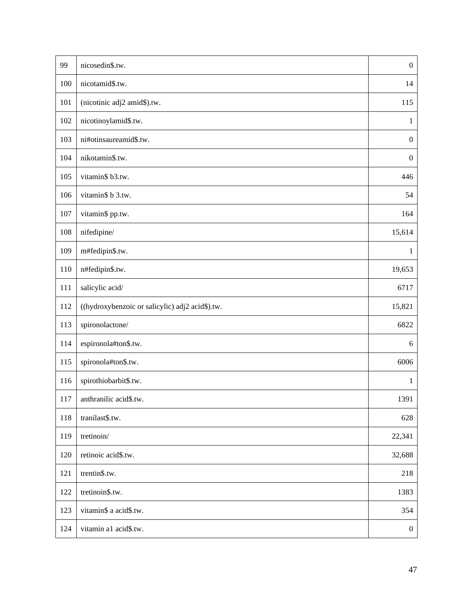| 99  | nicosedin\$.tw.                                 | $\boldsymbol{0}$ |
|-----|-------------------------------------------------|------------------|
| 100 | nicotamid\$.tw.                                 | 14               |
| 101 | (nicotinic adj2 amid\$).tw.                     | 115              |
| 102 | nicotinoylamid\$.tw.                            | $\mathbf{1}$     |
| 103 | ni#otinsaureamid\$.tw.                          | $\boldsymbol{0}$ |
| 104 | nikotamin\$.tw.                                 | $\boldsymbol{0}$ |
| 105 | vitamin\$ b3.tw.                                | 446              |
| 106 | vitamin\$ b 3.tw.                               | 54               |
| 107 | vitamin\$ pp.tw.                                | 164              |
| 108 | nifedipine/                                     | 15,614           |
| 109 | m#fedipin\$.tw.                                 | $\mathbf{1}$     |
| 110 | n#fedipin\$.tw.                                 | 19,653           |
| 111 | salicylic acid/                                 | 6717             |
| 112 | ((hydroxybenzoic or salicylic) adj2 acid\$).tw. | 15,821           |
| 113 | spironolactone/                                 | 6822             |
| 114 | espironola#ton\$.tw.                            | $6\,$            |
| 115 | spironola#ton\$.tw.                             | 6006             |
| 116 | spirothiobarbit\$.tw.                           | $\mathbf{1}$     |
| 117 | anthranilic acid\$.tw.                          | 1391             |
| 118 | tranilast\$.tw.                                 | 628              |
| 119 | tretinoin/                                      | 22,341           |
| 120 | retinoic acid\$.tw.                             | 32,688           |
| 121 | trentin\$.tw.                                   | 218              |
| 122 | tretinoin\$.tw.                                 | 1383             |
| 123 | vitamin\$ a acid\$.tw.                          | 354              |
| 124 | vitamin a1 acid\$.tw.                           | $\boldsymbol{0}$ |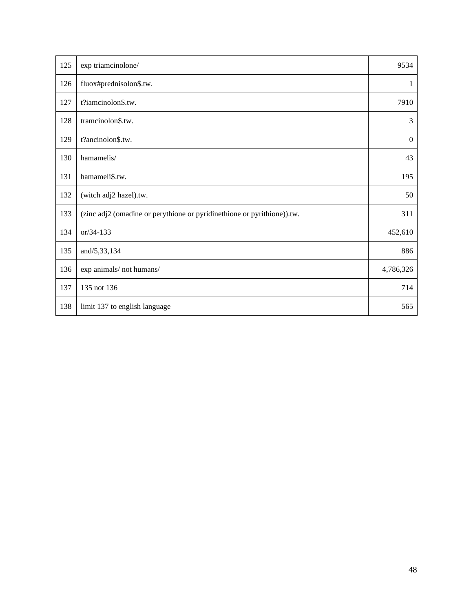| 125 | exp triamcinolone/                                                      | 9534             |
|-----|-------------------------------------------------------------------------|------------------|
| 126 | fluox#prednisolon\$.tw.                                                 | 1                |
| 127 | t?iamcinolon\$.tw.                                                      | 7910             |
| 128 | tramcinolon\$.tw.                                                       | 3                |
| 129 | t?ancinolon\$.tw.                                                       | $\boldsymbol{0}$ |
| 130 | hamamelis/                                                              | 43               |
| 131 | hamameli\$.tw.                                                          | 195              |
| 132 | (witch adj2 hazel).tw.                                                  | 50               |
| 133 | (zinc adj2 (omadine or perythione or pyridinethione or pyrithione)).tw. | 311              |
| 134 | or/34-133                                                               | 452,610          |
| 135 | and/5,33,134                                                            | 886              |
| 136 | exp animals/not humans/                                                 | 4,786,326        |
| 137 | 135 not 136                                                             | 714              |
| 138 | limit 137 to english language                                           | 565              |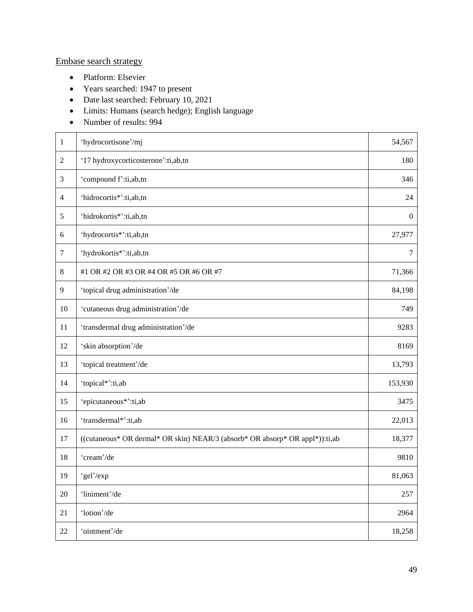## Embase search strategy

- Platform: Elsevier
- Years searched: 1947 to present
- Date last searched: February 10, 2021
- Limits: Humans (search hedge); English language
- Number of results: 994

| $\mathbf{1}$   | 'hydrocortisone'/mj                                                          | 54,567           |
|----------------|------------------------------------------------------------------------------|------------------|
| $\overline{2}$ | '17 hydroxycorticosterone':ti,ab,tn                                          | 180              |
| $\mathfrak{Z}$ | 'compound f':ti,ab,tn                                                        | 346              |
| $\overline{4}$ | 'hidrocortis*':ti,ab,tn                                                      | 24               |
| 5              | 'hidrokortis*':ti,ab,tn                                                      | $\boldsymbol{0}$ |
| 6              | 'hydrocortis*':ti,ab,tn                                                      | 27,977           |
| $\tau$         | 'hydrokortis*':ti,ab,tn                                                      | $\tau$           |
| 8              | #1 OR #2 OR #3 OR #4 OR #5 OR #6 OR #7                                       | 71,366           |
| 9              | 'topical drug administration'/de                                             | 84,198           |
| 10             | 'cutaneous drug administration'/de                                           | 749              |
| 11             | 'transdermal drug administration'/de                                         | 9283             |
| 12             | 'skin absorption'/de                                                         | 8169             |
| 13             | 'topical treatment'/de                                                       | 13,793           |
| 14             | 'topical*':ti,ab                                                             | 153,930          |
| 15             | 'epicutaneous*':ti,ab                                                        | 3475             |
| 16             | 'transdermal*':ti,ab                                                         | 22,013           |
| 17             | ((cutaneous* OR dermal* OR skin) NEAR/3 (absorb* OR absorp* OR appl*)):ti,ab | 18,377           |
| 18             | 'cream'/de                                                                   | 9810             |
| 19             | 'gel'/exp                                                                    | 81,063           |
| 20             | 'liniment'/de                                                                | 257              |
| 21             | 'lotion'/de                                                                  | 2964             |
| $22\,$         | 'ointment'/de                                                                | 18,258           |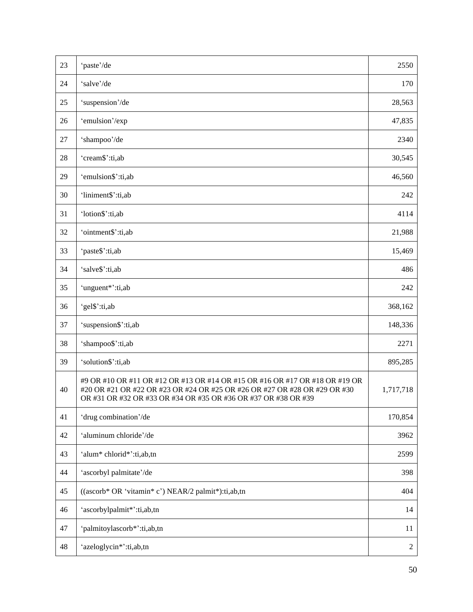| 23 | 'paste'/de                                                                                                                                                                                                                 | 2550           |
|----|----------------------------------------------------------------------------------------------------------------------------------------------------------------------------------------------------------------------------|----------------|
| 24 | 'salve'/de                                                                                                                                                                                                                 | 170            |
| 25 | 'suspension'/de                                                                                                                                                                                                            | 28,563         |
| 26 | 'emulsion'/exp                                                                                                                                                                                                             | 47,835         |
| 27 | 'shampoo'/de                                                                                                                                                                                                               | 2340           |
| 28 | 'cream\$':ti,ab                                                                                                                                                                                                            | 30,545         |
| 29 | 'emulsion\$':ti,ab                                                                                                                                                                                                         | 46,560         |
| 30 | 'liniment\$':ti,ab                                                                                                                                                                                                         | 242            |
| 31 | 'lotion\$':ti,ab                                                                                                                                                                                                           | 4114           |
| 32 | 'ointment\$':ti,ab                                                                                                                                                                                                         | 21,988         |
| 33 | 'paste\$':ti,ab                                                                                                                                                                                                            | 15,469         |
| 34 | 'salve\$':ti,ab                                                                                                                                                                                                            | 486            |
| 35 | 'unguent*':ti,ab                                                                                                                                                                                                           | 242            |
| 36 | 'gel\$':ti,ab                                                                                                                                                                                                              | 368,162        |
| 37 | 'suspension\$':ti,ab                                                                                                                                                                                                       | 148,336        |
| 38 | 'shampoo\$':ti,ab                                                                                                                                                                                                          | 2271           |
| 39 | 'solution\$':ti,ab                                                                                                                                                                                                         | 895,285        |
| 40 | #9 OR #10 OR #11 OR #12 OR #13 OR #14 OR #15 OR #16 OR #17 OR #18 OR #19 OR<br>#20 OR #21 OR #22 OR #23 OR #24 OR #25 OR #26 OR #27 OR #28 OR #29 OR #30<br>OR #31 OR #32 OR #33 OR #34 OR #35 OR #36 OR #37 OR #38 OR #39 | 1,717,718      |
| 41 | 'drug combination'/de                                                                                                                                                                                                      | 170,854        |
| 42 | 'aluminum chloride'/de                                                                                                                                                                                                     | 3962           |
| 43 | 'alum* chlorid*':ti,ab,tn                                                                                                                                                                                                  | 2599           |
| 44 | 'ascorbyl palmitate'/de                                                                                                                                                                                                    | 398            |
| 45 | ((ascorb* OR 'vitamin* c') NEAR/2 palmit*):ti,ab,tn                                                                                                                                                                        | 404            |
| 46 | 'ascorbylpalmit*':ti,ab,tn                                                                                                                                                                                                 | 14             |
| 47 | 'palmitoylascorb*':ti,ab,tn                                                                                                                                                                                                | 11             |
| 48 | 'azeloglycin*':ti,ab,tn                                                                                                                                                                                                    | $\overline{c}$ |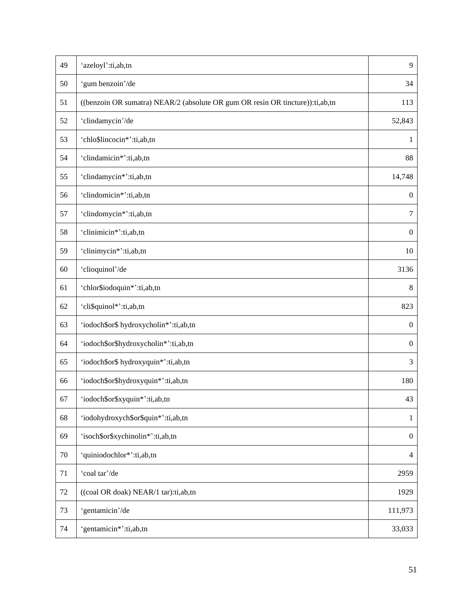| 49     | 'azeloyl':ti,ab,tn                                                            | 9                        |
|--------|-------------------------------------------------------------------------------|--------------------------|
| 50     | 'gum benzoin'/de                                                              | 34                       |
| 51     | ((benzoin OR sumatra) NEAR/2 (absolute OR gum OR resin OR tincture)):ti,ab,tn | 113                      |
| 52     | 'clindamycin'/de                                                              | 52,843                   |
| 53     | 'chlo\$lincocin*':ti,ab,tn                                                    | 1                        |
| 54     | 'clindamicin*':ti,ab,tn                                                       | 88                       |
| 55     | 'clindamycin*':ti,ab,tn                                                       | 14,748                   |
| 56     | 'clindomicin*':ti,ab,tn                                                       | $\boldsymbol{0}$         |
| 57     | 'clindomycin*':ti,ab,tn                                                       | $\tau$                   |
| 58     | 'clinimicin*':ti,ab,tn                                                        | $\boldsymbol{0}$         |
| 59     | 'clinimycin*':ti,ab,tn                                                        | 10                       |
| 60     | 'clioquinol'/de                                                               | 3136                     |
| 61     | 'chlor\$iodoquin*':ti,ab,tn                                                   | $\,8$                    |
| 62     | 'cli\$quinol*':ti,ab,tn                                                       | 823                      |
| 63     | 'iodoch\$or\$ hydroxycholin*':ti,ab,tn                                        | $\boldsymbol{0}$         |
| 64     | 'iodoch\$or\$hydroxycholin*':ti,ab,tn                                         | $\overline{0}$           |
| 65     | 'iodoch\$or\$ hydroxyquin*':ti,ab,tn                                          | 3                        |
| 66     | 'iodoch\$or\$hydroxyquin*':ti,ab,tn                                           | 180                      |
| 67     | 'iodoch\$or\$xyquin*':ti,ab,tn                                                | 43                       |
| 68     | 'iodohydroxych\$or\$quin*':ti,ab,tn                                           | $\mathbf{1}$             |
| 69     | 'isoch\$or\$xychinolin*':ti,ab,tn                                             | $\boldsymbol{0}$         |
| $70\,$ | 'quiniodochlor*':ti,ab,tn                                                     | $\overline{\mathcal{A}}$ |
| 71     | 'coal tar'/de                                                                 | 2959                     |
| $72\,$ | ((coal OR doak) NEAR/1 tar):ti,ab,tn                                          | 1929                     |
| 73     | 'gentamicin'/de                                                               | 111,973                  |
| 74     | 'gentamicin*':ti,ab,tn                                                        | 33,033                   |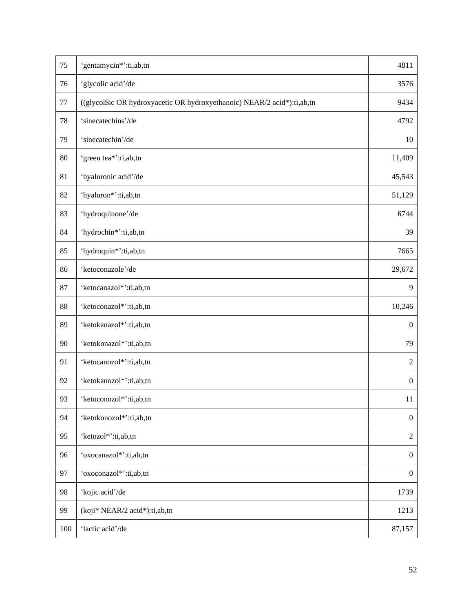| 75  | 'gentamycin*':ti,ab,tn                                                   | 4811             |
|-----|--------------------------------------------------------------------------|------------------|
| 76  | 'glycolic acid'/de                                                       | 3576             |
| 77  | ((glycol\$ic OR hydroxyacetic OR hydroxyethanoic) NEAR/2 acid*):ti,ab,tn | 9434             |
| 78  | 'sinecatechins'/de                                                       | 4792             |
| 79  | 'sinecatechin'/de                                                        | 10               |
| 80  | 'green tea*':ti,ab,tn                                                    | 11,409           |
| 81  | 'hyaluronic acid'/de                                                     | 45,543           |
| 82  | 'hyaluron*':ti,ab,tn                                                     | 51,129           |
| 83  | 'hydroquinone'/de                                                        | 6744             |
| 84  | 'hydrochin*':ti,ab,tn                                                    | 39               |
| 85  | 'hydroquin*':ti,ab,tn                                                    | 7665             |
| 86  | 'ketoconazole'/de                                                        | 29,672           |
| 87  | 'ketocanazol*':ti,ab,tn                                                  | 9                |
| 88  | 'ketoconazol*':ti,ab,tn                                                  | 10,246           |
| 89  | 'ketokanazol*':ti,ab,tn                                                  | $\boldsymbol{0}$ |
| 90  | 'ketokonazol*':ti,ab,tn                                                  | 79               |
| 91  | 'ketocanozol*':ti,ab,tn                                                  | $\sqrt{2}$       |
| 92  | 'ketokanozol*':ti,ab,tn                                                  | $\overline{0}$   |
| 93  | 'ketoconozol*':ti,ab,tn                                                  | 11               |
| 94  | 'ketokonozol*':ti,ab,tn                                                  | $\boldsymbol{0}$ |
| 95  | 'ketozol*':ti,ab,tn                                                      | $\sqrt{2}$       |
| 96  | 'oxocanazol*':ti,ab,tn                                                   | $\boldsymbol{0}$ |
| 97  | 'oxoconazol*':ti,ab,tn                                                   | $\boldsymbol{0}$ |
| 98  | 'kojic acid'/de                                                          | 1739             |
| 99  | (koji* NEAR/2 acid*):ti,ab,tn                                            | 1213             |
| 100 | 'lactic acid'/de                                                         | 87,157           |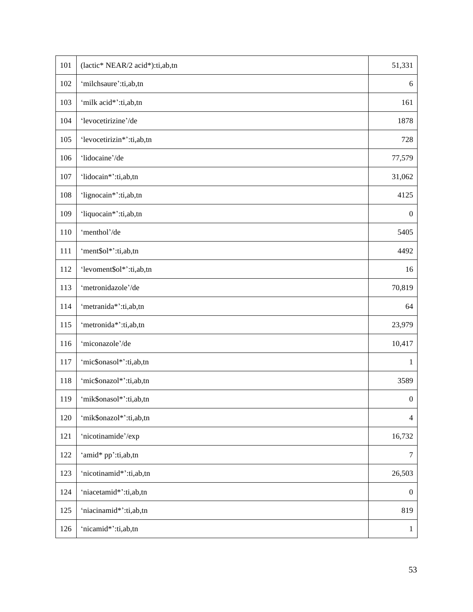| 101 | (lactic* NEAR/2 acid*):ti,ab,tn | 51,331           |
|-----|---------------------------------|------------------|
| 102 | 'milchsaure':ti,ab,tn           | 6                |
| 103 | 'milk acid*':ti,ab,tn           | 161              |
| 104 | 'levocetirizine'/de             | 1878             |
| 105 | 'levocetirizin*':ti,ab,tn       | 728              |
| 106 | 'lidocaine'/de                  | 77,579           |
| 107 | 'lidocain*':ti,ab,tn            | 31,062           |
| 108 | 'lignocain*':ti,ab,tn           | 4125             |
| 109 | 'liquocain*':ti,ab,tn           | $\boldsymbol{0}$ |
| 110 | 'menthol'/de                    | 5405             |
| 111 | 'ment\$ol*':ti,ab,tn            | 4492             |
| 112 | 'levoment\$ol*':ti,ab,tn        | 16               |
| 113 | 'metronidazole'/de              | 70,819           |
| 114 | 'metranida*':ti,ab,tn           | 64               |
| 115 | 'metronida*':ti,ab,tn           | 23,979           |
| 116 | 'miconazole'/de                 | 10,417           |
| 117 | 'mic\$onasol*':ti,ab,tn         | $\mathbf{1}$     |
| 118 | 'mic\$onazol*':ti,ab,tn         | 3589             |
| 119 | 'mik\$onasol*':ti,ab,tn         | $\boldsymbol{0}$ |
| 120 | 'mik\$onazol*':ti,ab,tn         | $\overline{4}$   |
| 121 | 'nicotinamide'/exp              | 16,732           |
| 122 | 'amid* pp':ti,ab,tn             | $\boldsymbol{7}$ |
| 123 | 'nicotinamid*':ti,ab,tn         | 26,503           |
| 124 | 'niacetamid*':ti,ab,tn          | $\boldsymbol{0}$ |
| 125 | 'niacinamid*':ti,ab,tn          | 819              |
| 126 | 'nicamid*':ti,ab,tn             | $\mathbf{1}$     |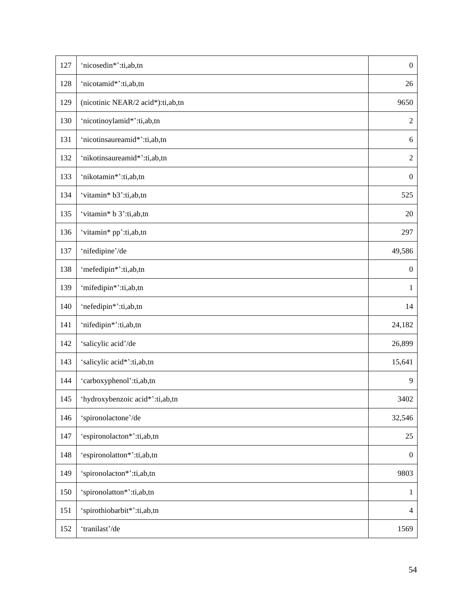| 127 | 'nicosedin*':ti,ab,tn             | $\boldsymbol{0}$ |
|-----|-----------------------------------|------------------|
| 128 | 'nicotamid*':ti,ab,tn             | 26               |
| 129 | (nicotinic NEAR/2 acid*):ti,ab,tn | 9650             |
| 130 | 'nicotinoylamid*':ti,ab,tn        | $\sqrt{2}$       |
| 131 | 'nicotinsaureamid*':ti,ab,tn      | 6                |
| 132 | 'nikotinsaureamid*':ti,ab,tn      | $\sqrt{2}$       |
| 133 | 'nikotamin*':ti,ab,tn             | $\boldsymbol{0}$ |
| 134 | 'vitamin* b3':ti,ab,tn            | 525              |
| 135 | 'vitamin* b 3':ti,ab,tn           | 20               |
| 136 | 'vitamin* pp':ti,ab,tn            | 297              |
| 137 | 'nifedipine'/de                   | 49,586           |
| 138 | 'mefedipin*':ti,ab,tn             | $\boldsymbol{0}$ |
| 139 | 'mifedipin*':ti,ab,tn             | $\mathbf{1}$     |
| 140 | 'nefedipin*':ti,ab,tn             | 14               |
| 141 | 'nifedipin*':ti,ab,tn             | 24,182           |
| 142 | 'salicylic acid'/de               | 26,899           |
| 143 | 'salicylic acid*':ti,ab,tn        | 15,641           |
| 144 | 'carboxyphenol':ti,ab,tn          | 9                |
| 145 | 'hydroxybenzoic acid*':ti,ab,tn   | 3402             |
| 146 | 'spironolactone'/de               | 32,546           |
| 147 | 'espironolacton*':ti,ab,tn        | 25               |
| 148 | 'espironolatton*':ti,ab,tn        | $\boldsymbol{0}$ |
| 149 | 'spironolacton*':ti,ab,tn         | 9803             |
| 150 | 'spironolatton*':ti,ab,tn         | 1                |
| 151 | 'spirothiobarbit*':ti,ab,tn       | $\overline{4}$   |
| 152 | 'tranilast'/de                    | 1569             |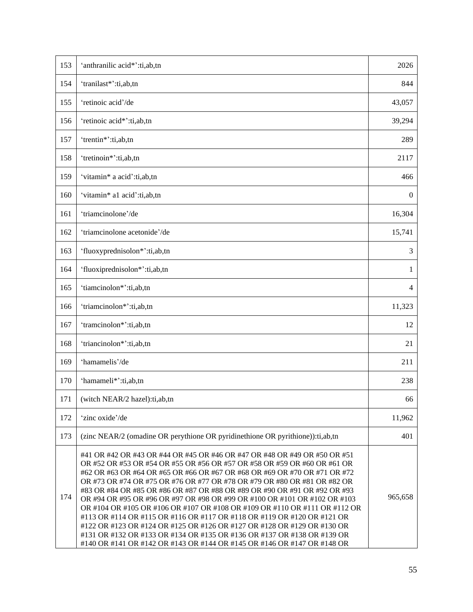| 153 | 'anthranilic acid*':ti,ab,tn                                                                                                                                                                                                                                                                                                                                                                                                                                                                                                                                                                                                                                                                                                                                                                                                                                       | 2026             |
|-----|--------------------------------------------------------------------------------------------------------------------------------------------------------------------------------------------------------------------------------------------------------------------------------------------------------------------------------------------------------------------------------------------------------------------------------------------------------------------------------------------------------------------------------------------------------------------------------------------------------------------------------------------------------------------------------------------------------------------------------------------------------------------------------------------------------------------------------------------------------------------|------------------|
| 154 | 'tranilast*':ti,ab,tn                                                                                                                                                                                                                                                                                                                                                                                                                                                                                                                                                                                                                                                                                                                                                                                                                                              | 844              |
| 155 | 'retinoic acid'/de                                                                                                                                                                                                                                                                                                                                                                                                                                                                                                                                                                                                                                                                                                                                                                                                                                                 | 43,057           |
| 156 | 'retinoic acid*':ti,ab,tn                                                                                                                                                                                                                                                                                                                                                                                                                                                                                                                                                                                                                                                                                                                                                                                                                                          | 39,294           |
| 157 | 'trentin*':ti,ab,tn                                                                                                                                                                                                                                                                                                                                                                                                                                                                                                                                                                                                                                                                                                                                                                                                                                                | 289              |
| 158 | 'tretinoin*':ti,ab,tn                                                                                                                                                                                                                                                                                                                                                                                                                                                                                                                                                                                                                                                                                                                                                                                                                                              | 2117             |
| 159 | 'vitamin* a acid':ti,ab,tn                                                                                                                                                                                                                                                                                                                                                                                                                                                                                                                                                                                                                                                                                                                                                                                                                                         | 466              |
| 160 | 'vitamin* a1 acid':ti,ab,tn                                                                                                                                                                                                                                                                                                                                                                                                                                                                                                                                                                                                                                                                                                                                                                                                                                        | $\boldsymbol{0}$ |
| 161 | 'triamcinolone'/de                                                                                                                                                                                                                                                                                                                                                                                                                                                                                                                                                                                                                                                                                                                                                                                                                                                 | 16,304           |
| 162 | 'triamcinolone acetonide'/de                                                                                                                                                                                                                                                                                                                                                                                                                                                                                                                                                                                                                                                                                                                                                                                                                                       | 15,741           |
| 163 | 'fluoxyprednisolon*':ti,ab,tn                                                                                                                                                                                                                                                                                                                                                                                                                                                                                                                                                                                                                                                                                                                                                                                                                                      | 3                |
| 164 | 'fluoxiprednisolon*':ti,ab,tn                                                                                                                                                                                                                                                                                                                                                                                                                                                                                                                                                                                                                                                                                                                                                                                                                                      | 1                |
| 165 | 'tiamcinolon*':ti,ab,tn                                                                                                                                                                                                                                                                                                                                                                                                                                                                                                                                                                                                                                                                                                                                                                                                                                            | $\overline{4}$   |
| 166 | 'triamcinolon*':ti,ab,tn                                                                                                                                                                                                                                                                                                                                                                                                                                                                                                                                                                                                                                                                                                                                                                                                                                           | 11,323           |
| 167 | 'tramcinolon*':ti,ab,tn                                                                                                                                                                                                                                                                                                                                                                                                                                                                                                                                                                                                                                                                                                                                                                                                                                            | 12               |
| 168 | 'triancinolon*':ti,ab,tn                                                                                                                                                                                                                                                                                                                                                                                                                                                                                                                                                                                                                                                                                                                                                                                                                                           | 21               |
| 169 | 'hamamelis'/de                                                                                                                                                                                                                                                                                                                                                                                                                                                                                                                                                                                                                                                                                                                                                                                                                                                     | 211              |
| 170 | 'hamameli*':ti,ab,tn                                                                                                                                                                                                                                                                                                                                                                                                                                                                                                                                                                                                                                                                                                                                                                                                                                               | 238              |
| 171 | (witch NEAR/2 hazel):ti,ab,tn                                                                                                                                                                                                                                                                                                                                                                                                                                                                                                                                                                                                                                                                                                                                                                                                                                      | 66               |
| 172 | 'zinc oxide'/de                                                                                                                                                                                                                                                                                                                                                                                                                                                                                                                                                                                                                                                                                                                                                                                                                                                    | 11,962           |
| 173 | (zinc NEAR/2 (omadine OR perythione OR pyridinethione OR pyrithione)):ti,ab,tn                                                                                                                                                                                                                                                                                                                                                                                                                                                                                                                                                                                                                                                                                                                                                                                     | 401              |
| 174 | #41 OR #42 OR #43 OR #44 OR #45 OR #46 OR #47 OR #48 OR #49 OR #50 OR #51<br>OR #52 OR #53 OR #54 OR #55 OR #56 OR #57 OR #58 OR #59 OR #60 OR #61 OR<br>#62 OR #63 OR #64 OR #65 OR #66 OR #67 OR #68 OR #69 OR #70 OR #71 OR #72<br>OR #73 OR #74 OR #75 OR #76 OR #77 OR #78 OR #79 OR #80 OR #81 OR #82 OR<br>#83 OR #84 OR #85 OR #86 OR #87 OR #88 OR #89 OR #90 OR #91 OR #92 OR #93<br>OR #94 OR #95 OR #96 OR #97 OR #98 OR #99 OR #100 OR #101 OR #102 OR #103<br>OR #104 OR #105 OR #106 OR #107 OR #108 OR #109 OR #110 OR #111 OR #112 OR<br>#113 OR #114 OR #115 OR #116 OR #117 OR #118 OR #119 OR #120 OR #121 OR<br>#122 OR #123 OR #124 OR #125 OR #126 OR #127 OR #128 OR #129 OR #130 OR<br>#131 OR #132 OR #133 OR #134 OR #135 OR #136 OR #137 OR #138 OR #139 OR<br>#140 OR #141 OR #142 OR #143 OR #144 OR #145 OR #146 OR #147 OR #148 OR | 965,658          |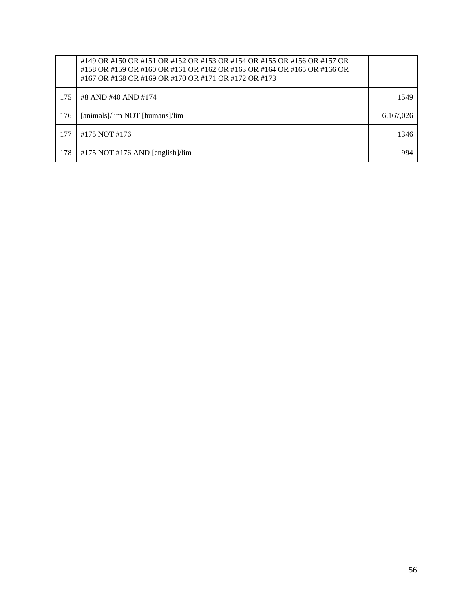|     | #149 OR #150 OR #151 OR #152 OR #153 OR #154 OR #155 OR #156 OR #157 OR<br>#158 OR #159 OR #160 OR #161 OR #162 OR #163 OR #164 OR #165 OR #166 OR<br>#167 OR #168 OR #169 OR #170 OR #171 OR #172 OR #173 |           |
|-----|------------------------------------------------------------------------------------------------------------------------------------------------------------------------------------------------------------|-----------|
| 175 | #8 AND #40 AND #174                                                                                                                                                                                        | 1549      |
| 176 | [animals]/lim NOT [humans]/lim                                                                                                                                                                             | 6,167,026 |
| 177 | #175 NOT #176                                                                                                                                                                                              | 1346      |
| 178 | $#175$ NOT $#176$ AND [english]/lim                                                                                                                                                                        | 994       |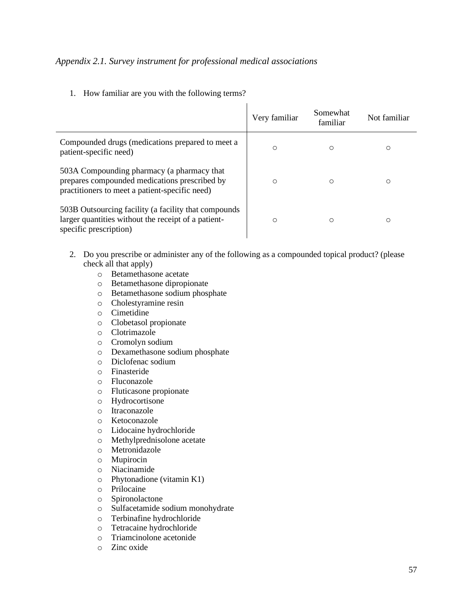#### <span id="page-56-0"></span>*Appendix 2.1. Survey instrument for professional medical associations*

1. How familiar are you with the following terms?

|                                                                                                                                               | Very familiar | Somewhat<br>familiar | Not familiar |
|-----------------------------------------------------------------------------------------------------------------------------------------------|---------------|----------------------|--------------|
| Compounded drugs (medications prepared to meet a<br>patient-specific need)                                                                    | O             | $\circ$              | O            |
| 503A Compounding pharmacy (a pharmacy that<br>prepares compounded medications prescribed by<br>practitioners to meet a patient-specific need) | O             | $\circ$              | O            |
| 503B Outsourcing facility (a facility that compounds<br>larger quantities without the receipt of a patient-<br>specific prescription)         | O             | $\circ$              | О            |

 $\mathbf{r}$ 

- 2. Do you prescribe or administer any of the following as a compounded topical product? (please check all that apply)
	- o Betamethasone acetate
	- o Betamethasone dipropionate
	- o Betamethasone sodium phosphate
	- o Cholestyramine resin
	- o Cimetidine
	- o Clobetasol propionate
	- o Clotrimazole
	- o Cromolyn sodium
	- o Dexamethasone sodium phosphate
	- o Diclofenac sodium
	- o Finasteride
	- o Fluconazole
	- o Fluticasone propionate
	- o Hydrocortisone
	- o Itraconazole
	- o Ketoconazole
	- o Lidocaine hydrochloride
	- o Methylprednisolone acetate
	- o Metronidazole
	- o Mupirocin
	- o Niacinamide
	- o Phytonadione (vitamin K1)
	- o Prilocaine
	- o Spironolactone
	- o Sulfacetamide sodium monohydrate
	- o Terbinafine hydrochloride
	- o Tetracaine hydrochloride
	- o Triamcinolone acetonide
	- o Zinc oxide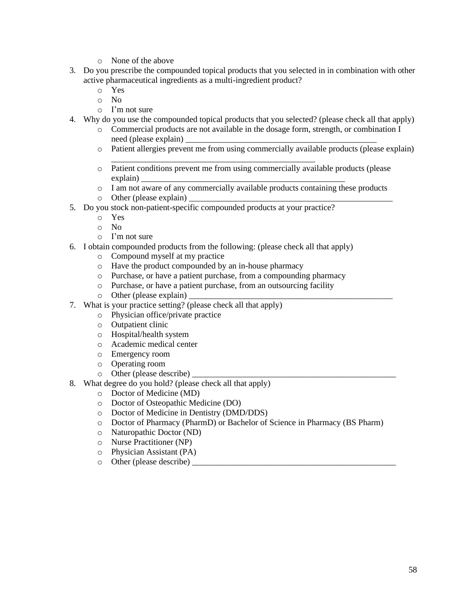- o None of the above
- 3. Do you prescribe the compounded topical products that you selected in in combination with other active pharmaceutical ingredients as a multi-ingredient product?
	- o Yes
	- o No
	- o I'm not sure
- 4. Why do you use the compounded topical products that you selected? (please check all that apply)
	- o Commercial products are not available in the dosage form, strength, or combination I need (please explain)
	- o Patient allergies prevent me from using commercially available products (please explain)
	- o Patient conditions prevent me from using commercially available products (please explain) \_\_\_\_\_\_\_\_\_\_\_\_\_\_\_\_\_\_\_\_\_\_\_\_\_\_\_\_\_\_\_\_\_\_\_\_\_\_\_\_\_\_\_\_\_\_\_\_
	- o I am not aware of any commercially available products containing these products
	- $\circ$  Other (please explain)
- 5. Do you stock non-patient-specific compounded products at your practice?
	- o Yes
	- o No
	- o I'm not sure
- 6. I obtain compounded products from the following: (please check all that apply)

\_\_\_\_\_\_\_\_\_\_\_\_\_\_\_\_\_\_\_\_\_\_\_\_\_\_\_\_\_\_\_\_\_\_\_\_\_\_\_\_\_\_\_\_\_\_\_\_

- o Compound myself at my practice
- o Have the product compounded by an in-house pharmacy
- o Purchase, or have a patient purchase, from a compounding pharmacy
- o Purchase, or have a patient purchase, from an outsourcing facility
- $\circ$  Other (please explain)
- 7. What is your practice setting? (please check all that apply)
	- o Physician office/private practice
	- o Outpatient clinic
	- o Hospital/health system
	- o Academic medical center
	- o Emergency room
	- o Operating room
	- $\circ$  Other (please describe)
- 8. What degree do you hold? (please check all that apply)
	- o Doctor of Medicine (MD)
	- o Doctor of Osteopathic Medicine (DO)
	- o Doctor of Medicine in Dentistry (DMD/DDS)
	- o Doctor of Pharmacy (PharmD) or Bachelor of Science in Pharmacy (BS Pharm)
	- o Naturopathic Doctor (ND)
	- o Nurse Practitioner (NP)
	- o Physician Assistant (PA)
	- $\circ$  Other (please describe)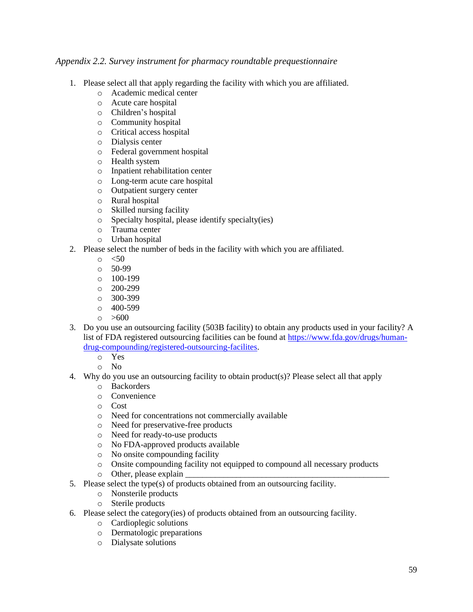#### <span id="page-58-0"></span>*Appendix 2.2. Survey instrument for pharmacy roundtable prequestionnaire*

- 1. Please select all that apply regarding the facility with which you are affiliated.
	- o Academic medical center
	- o Acute care hospital
	- o Children's hospital
	- o Community hospital
	- o Critical access hospital
	- o Dialysis center
	- o Federal government hospital
	- o Health system
	- o Inpatient rehabilitation center
	- o Long-term acute care hospital
	- o Outpatient surgery center
	- o Rural hospital
	- o Skilled nursing facility
	- o Specialty hospital, please identify specialty(ies)
	- o Trauma center
	- o Urban hospital
- 2. Please select the number of beds in the facility with which you are affiliated.
	- $\circ$   $\leq 50$
	- o 50-99
	- o 100-199
	- o 200-299
	- o 300-399
	- $00 599$
	- $\circ$  >600
- 3. Do you use an outsourcing facility (503B facility) to obtain any products used in your facility? A list of FDA registered outsourcing facilities can be found at [https://www.fda.gov/drugs/human](https://www.fda.gov/drugs/human-drug-compounding/registered-outsourcing-facilites)[drug-compounding/registered-outsourcing-facilites.](https://www.fda.gov/drugs/human-drug-compounding/registered-outsourcing-facilites)
	- o Yes
	- o No
- 4. Why do you use an outsourcing facility to obtain product(s)? Please select all that apply
	- o Backorders
	- o Convenience
	- o Cost
	- o Need for concentrations not commercially available
	- o Need for preservative-free products
	- o Need for ready-to-use products
	- o No FDA-approved products available
	- o No onsite compounding facility
	- o Onsite compounding facility not equipped to compound all necessary products
	- $\circ$  Other, please explain
- 5. Please select the type(s) of products obtained from an outsourcing facility.
	- o Nonsterile products
	- o Sterile products
- 6. Please select the category(ies) of products obtained from an outsourcing facility.
	- o Cardioplegic solutions
	- o Dermatologic preparations
	- o Dialysate solutions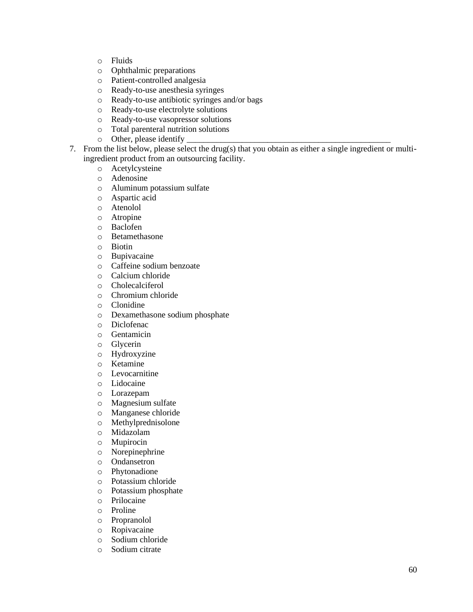- o Fluids
- o Ophthalmic preparations
- o Patient-controlled analgesia
- o Ready-to-use anesthesia syringes
- o Ready-to-use antibiotic syringes and/or bags
- o Ready-to-use electrolyte solutions
- o Ready-to-use vasopressor solutions
- o Total parenteral nutrition solutions
- o Other, please identify
- 7. From the list below, please select the drug(s) that you obtain as either a single ingredient or multiingredient product from an outsourcing facility.
	- o Acetylcysteine
	- o Adenosine
	- o Aluminum potassium sulfate
	- o Aspartic acid
	- o Atenolol
	- o Atropine
	- o Baclofen
	- o Betamethasone
	- o Biotin
	- o Bupivacaine
	- o Caffeine sodium benzoate
	- o Calcium chloride
	- o Cholecalciferol
	- o Chromium chloride
	- o Clonidine
	- o Dexamethasone sodium phosphate
	- o Diclofenac
	- o Gentamicin
	- o Glycerin
	- o Hydroxyzine
	- o Ketamine
	- o Levocarnitine
	- o Lidocaine
	- o Lorazepam
	- o Magnesium sulfate
	- o Manganese chloride
	- o Methylprednisolone
	- o Midazolam
	- o Mupirocin
	- o Norepinephrine
	- o Ondansetron
	- o Phytonadione
	- o Potassium chloride
	- o Potassium phosphate
	- o Prilocaine
	- o Proline
	- o Propranolol
	- o Ropivacaine
	- o Sodium chloride
	- o Sodium citrate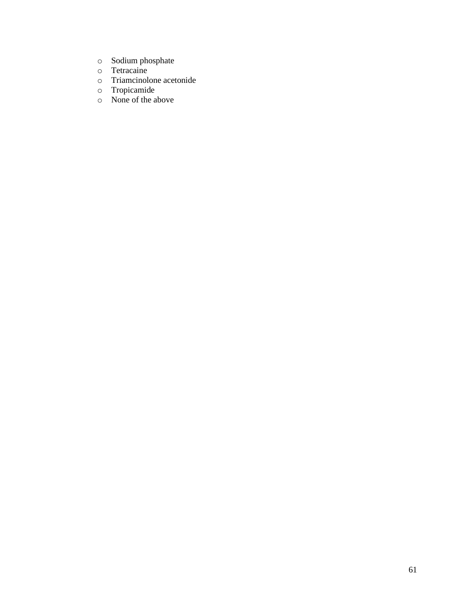- o Sodium phosphate
- o Tetracaine
- o Triamcinolone acetonide
- o Tropicamide
- o None of the above